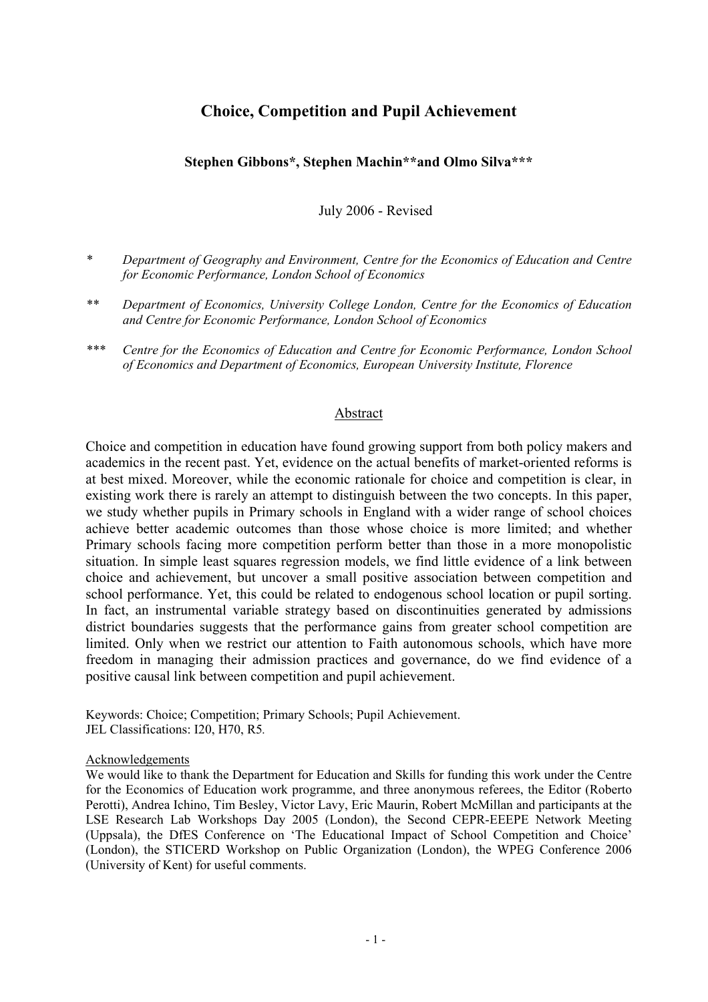## **Choice, Competition and Pupil Achievement**

## **Stephen Gibbons\*, Stephen Machin\*\*and Olmo Silva\*\*\***

July 2006 - Revised

- *\* Department of Geography and Environment, Centre for the Economics of Education and Centre for Economic Performance, London School of Economics*
- *\*\* Department of Economics, University College London, Centre for the Economics of Education and Centre for Economic Performance, London School of Economics*
- *\*\*\* Centre for the Economics of Education and Centre for Economic Performance, London School of Economics and Department of Economics, European University Institute, Florence*

## Abstract

Choice and competition in education have found growing support from both policy makers and academics in the recent past. Yet, evidence on the actual benefits of market-oriented reforms is at best mixed. Moreover, while the economic rationale for choice and competition is clear, in existing work there is rarely an attempt to distinguish between the two concepts. In this paper, we study whether pupils in Primary schools in England with a wider range of school choices achieve better academic outcomes than those whose choice is more limited; and whether Primary schools facing more competition perform better than those in a more monopolistic situation. In simple least squares regression models, we find little evidence of a link between choice and achievement, but uncover a small positive association between competition and school performance. Yet, this could be related to endogenous school location or pupil sorting. In fact, an instrumental variable strategy based on discontinuities generated by admissions district boundaries suggests that the performance gains from greater school competition are limited. Only when we restrict our attention to Faith autonomous schools, which have more freedom in managing their admission practices and governance, do we find evidence of a positive causal link between competition and pupil achievement.

Keywords: Choice; Competition; Primary Schools; Pupil Achievement. JEL Classifications: I20, H70, R5*.* 

## Acknowledgements

We would like to thank the Department for Education and Skills for funding this work under the Centre for the Economics of Education work programme, and three anonymous referees, the Editor (Roberto Perotti), Andrea Ichino, Tim Besley, Victor Lavy, Eric Maurin, Robert McMillan and participants at the LSE Research Lab Workshops Day 2005 (London), the Second CEPR-EEEPE Network Meeting (Uppsala), the DfES Conference on 'The Educational Impact of School Competition and Choice' (London), the STICERD Workshop on Public Organization (London), the WPEG Conference 2006 (University of Kent) for useful comments.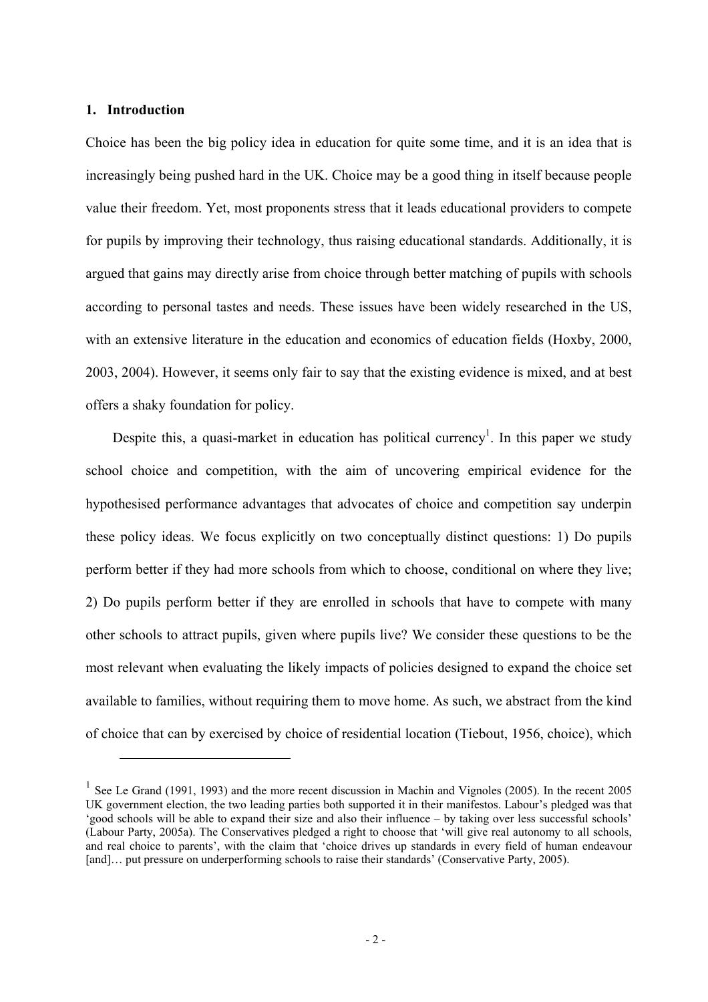## **1. Introduction**

 $\overline{a}$ 

Choice has been the big policy idea in education for quite some time, and it is an idea that is increasingly being pushed hard in the UK. Choice may be a good thing in itself because people value their freedom. Yet, most proponents stress that it leads educational providers to compete for pupils by improving their technology, thus raising educational standards. Additionally, it is argued that gains may directly arise from choice through better matching of pupils with schools according to personal tastes and needs. These issues have been widely researched in the US, with an extensive literature in the education and economics of education fields (Hoxby, 2000, 2003, 2004). However, it seems only fair to say that the existing evidence is mixed, and at best offers a shaky foundation for policy.

Despite this, a quasi-market in education has political currency<sup>1</sup>. In this paper we study school choice and competition, with the aim of uncovering empirical evidence for the hypothesised performance advantages that advocates of choice and competition say underpin these policy ideas. We focus explicitly on two conceptually distinct questions: 1) Do pupils perform better if they had more schools from which to choose, conditional on where they live; 2) Do pupils perform better if they are enrolled in schools that have to compete with many other schools to attract pupils, given where pupils live? We consider these questions to be the most relevant when evaluating the likely impacts of policies designed to expand the choice set available to families, without requiring them to move home. As such, we abstract from the kind of choice that can by exercised by choice of residential location (Tiebout, 1956, choice), which

<sup>&</sup>lt;sup>1</sup> See Le Grand (1991, 1993) and the more recent discussion in Machin and Vignoles (2005). In the recent 2005 UK government election, the two leading parties both supported it in their manifestos. Labour's pledged was that 'good schools will be able to expand their size and also their influence – by taking over less successful schools' (Labour Party, 2005a). The Conservatives pledged a right to choose that 'will give real autonomy to all schools, and real choice to parents', with the claim that 'choice drives up standards in every field of human endeavour [and]... put pressure on underperforming schools to raise their standards' (Conservative Party, 2005).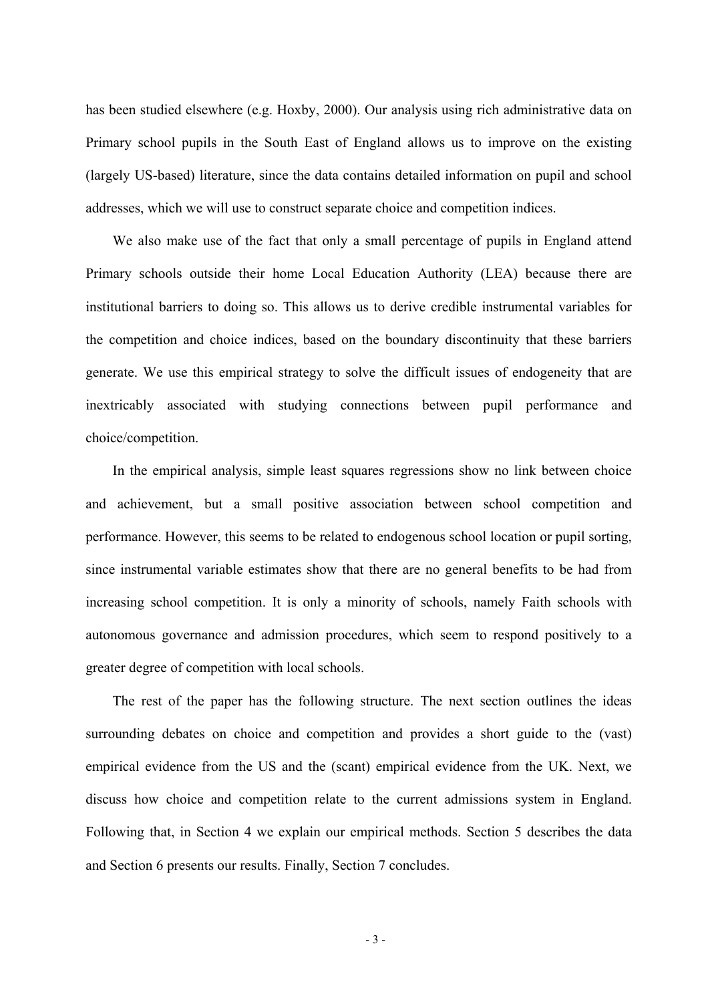has been studied elsewhere (e.g. Hoxby, 2000). Our analysis using rich administrative data on Primary school pupils in the South East of England allows us to improve on the existing (largely US-based) literature, since the data contains detailed information on pupil and school addresses, which we will use to construct separate choice and competition indices.

We also make use of the fact that only a small percentage of pupils in England attend Primary schools outside their home Local Education Authority (LEA) because there are institutional barriers to doing so. This allows us to derive credible instrumental variables for the competition and choice indices, based on the boundary discontinuity that these barriers generate. We use this empirical strategy to solve the difficult issues of endogeneity that are inextricably associated with studying connections between pupil performance and choice/competition.

In the empirical analysis, simple least squares regressions show no link between choice and achievement, but a small positive association between school competition and performance. However, this seems to be related to endogenous school location or pupil sorting, since instrumental variable estimates show that there are no general benefits to be had from increasing school competition. It is only a minority of schools, namely Faith schools with autonomous governance and admission procedures, which seem to respond positively to a greater degree of competition with local schools.

The rest of the paper has the following structure. The next section outlines the ideas surrounding debates on choice and competition and provides a short guide to the (vast) empirical evidence from the US and the (scant) empirical evidence from the UK. Next, we discuss how choice and competition relate to the current admissions system in England. Following that, in Section 4 we explain our empirical methods. Section 5 describes the data and Section 6 presents our results. Finally, Section 7 concludes.

- 3 -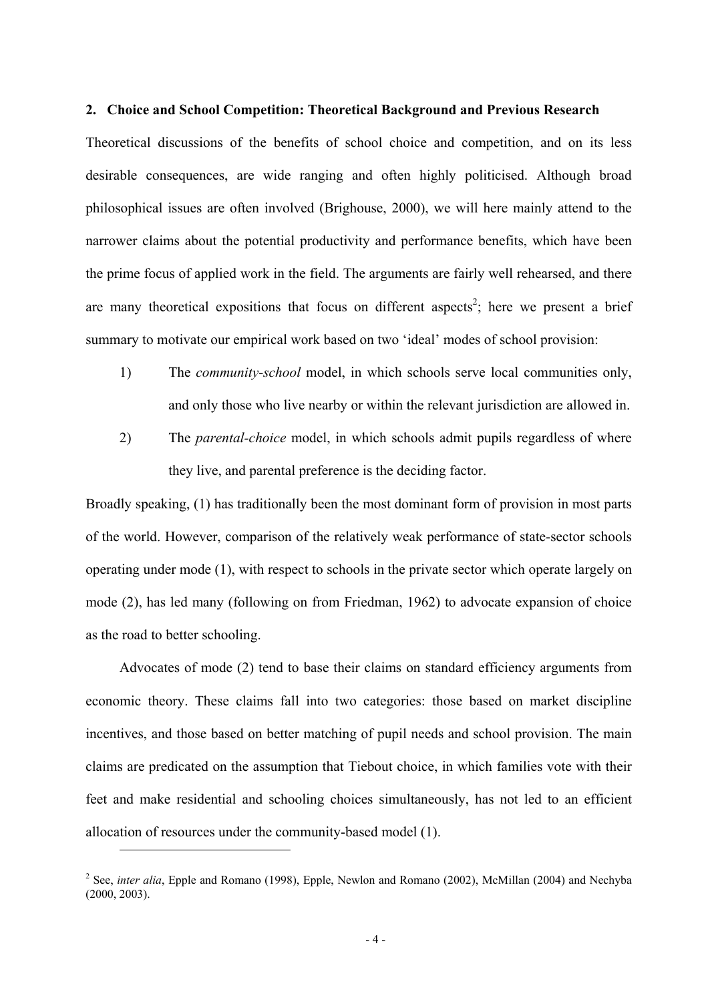#### **2. Choice and School Competition: Theoretical Background and Previous Research**

Theoretical discussions of the benefits of school choice and competition, and on its less desirable consequences, are wide ranging and often highly politicised. Although broad philosophical issues are often involved (Brighouse, 2000), we will here mainly attend to the narrower claims about the potential productivity and performance benefits, which have been the prime focus of applied work in the field. The arguments are fairly well rehearsed, and there are many theoretical expositions that focus on different aspects<sup>2</sup>; here we present a brief summary to motivate our empirical work based on two 'ideal' modes of school provision:

- 1) The *community-school* model, in which schools serve local communities only, and only those who live nearby or within the relevant jurisdiction are allowed in.
- 2) The *parental-choice* model, in which schools admit pupils regardless of where they live, and parental preference is the deciding factor.

Broadly speaking, (1) has traditionally been the most dominant form of provision in most parts of the world. However, comparison of the relatively weak performance of state-sector schools operating under mode (1), with respect to schools in the private sector which operate largely on mode (2), has led many (following on from Friedman, 1962) to advocate expansion of choice as the road to better schooling.

Advocates of mode (2) tend to base their claims on standard efficiency arguments from economic theory. These claims fall into two categories: those based on market discipline incentives, and those based on better matching of pupil needs and school provision. The main claims are predicated on the assumption that Tiebout choice, in which families vote with their feet and make residential and schooling choices simultaneously, has not led to an efficient allocation of resources under the community-based model (1).

<sup>&</sup>lt;sup>2</sup> See, *inter alia*, Epple and Romano (1998), Epple, Newlon and Romano (2002), McMillan (2004) and Nechyba (2000, 2003).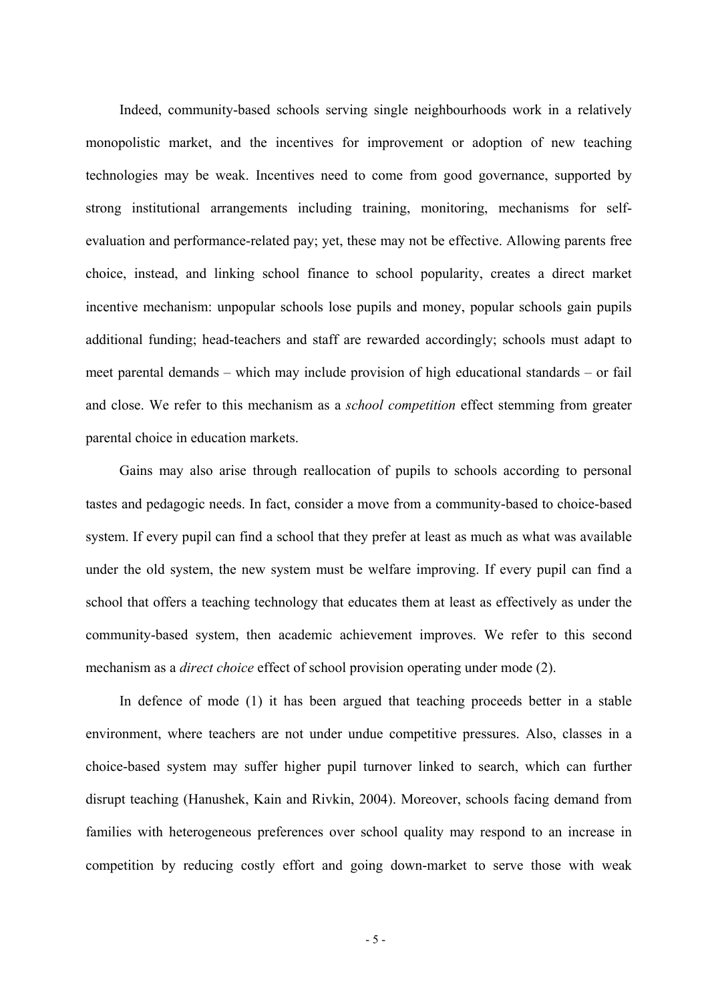Indeed, community-based schools serving single neighbourhoods work in a relatively monopolistic market, and the incentives for improvement or adoption of new teaching technologies may be weak. Incentives need to come from good governance, supported by strong institutional arrangements including training, monitoring, mechanisms for selfevaluation and performance-related pay; yet, these may not be effective. Allowing parents free choice, instead, and linking school finance to school popularity, creates a direct market incentive mechanism: unpopular schools lose pupils and money, popular schools gain pupils additional funding; head-teachers and staff are rewarded accordingly; schools must adapt to meet parental demands – which may include provision of high educational standards – or fail and close. We refer to this mechanism as a *school competition* effect stemming from greater parental choice in education markets.

Gains may also arise through reallocation of pupils to schools according to personal tastes and pedagogic needs. In fact, consider a move from a community-based to choice-based system. If every pupil can find a school that they prefer at least as much as what was available under the old system, the new system must be welfare improving. If every pupil can find a school that offers a teaching technology that educates them at least as effectively as under the community-based system, then academic achievement improves. We refer to this second mechanism as a *direct choice* effect of school provision operating under mode (2).

In defence of mode (1) it has been argued that teaching proceeds better in a stable environment, where teachers are not under undue competitive pressures. Also, classes in a choice-based system may suffer higher pupil turnover linked to search, which can further disrupt teaching (Hanushek, Kain and Rivkin, 2004). Moreover, schools facing demand from families with heterogeneous preferences over school quality may respond to an increase in competition by reducing costly effort and going down-market to serve those with weak

- 5 -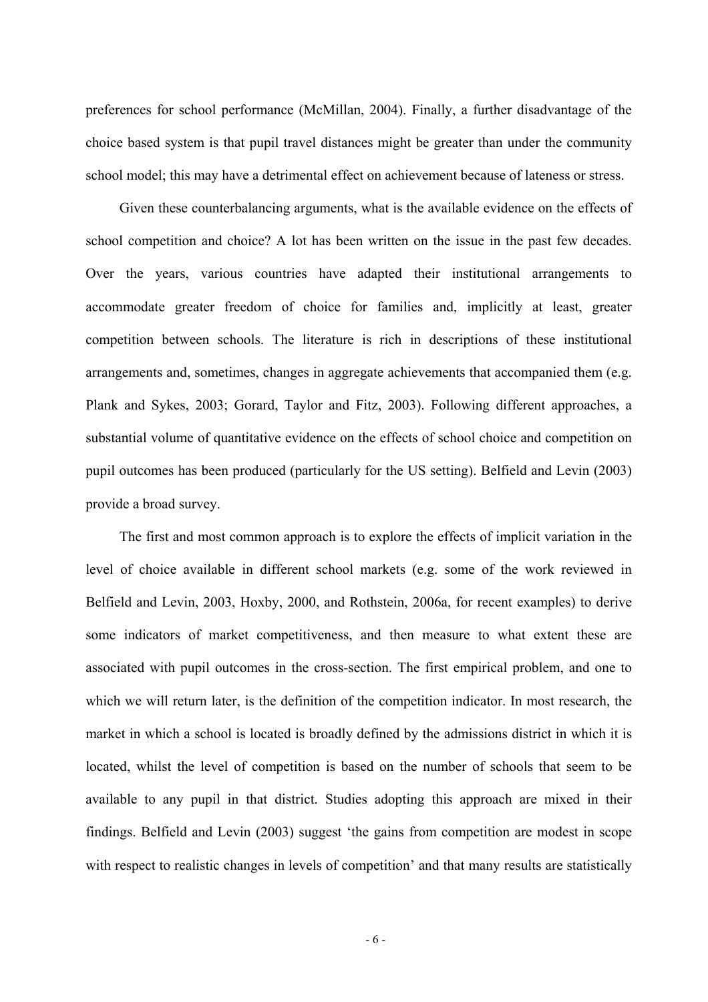preferences for school performance (McMillan, 2004). Finally, a further disadvantage of the choice based system is that pupil travel distances might be greater than under the community school model; this may have a detrimental effect on achievement because of lateness or stress.

Given these counterbalancing arguments, what is the available evidence on the effects of school competition and choice? A lot has been written on the issue in the past few decades. Over the years, various countries have adapted their institutional arrangements to accommodate greater freedom of choice for families and, implicitly at least, greater competition between schools. The literature is rich in descriptions of these institutional arrangements and, sometimes, changes in aggregate achievements that accompanied them (e.g. Plank and Sykes, 2003; Gorard, Taylor and Fitz, 2003). Following different approaches, a substantial volume of quantitative evidence on the effects of school choice and competition on pupil outcomes has been produced (particularly for the US setting). Belfield and Levin (2003) provide a broad survey.

The first and most common approach is to explore the effects of implicit variation in the level of choice available in different school markets (e.g. some of the work reviewed in Belfield and Levin, 2003, Hoxby, 2000, and Rothstein, 2006a, for recent examples) to derive some indicators of market competitiveness, and then measure to what extent these are associated with pupil outcomes in the cross-section. The first empirical problem, and one to which we will return later, is the definition of the competition indicator. In most research, the market in which a school is located is broadly defined by the admissions district in which it is located, whilst the level of competition is based on the number of schools that seem to be available to any pupil in that district. Studies adopting this approach are mixed in their findings. Belfield and Levin (2003) suggest 'the gains from competition are modest in scope with respect to realistic changes in levels of competition' and that many results are statistically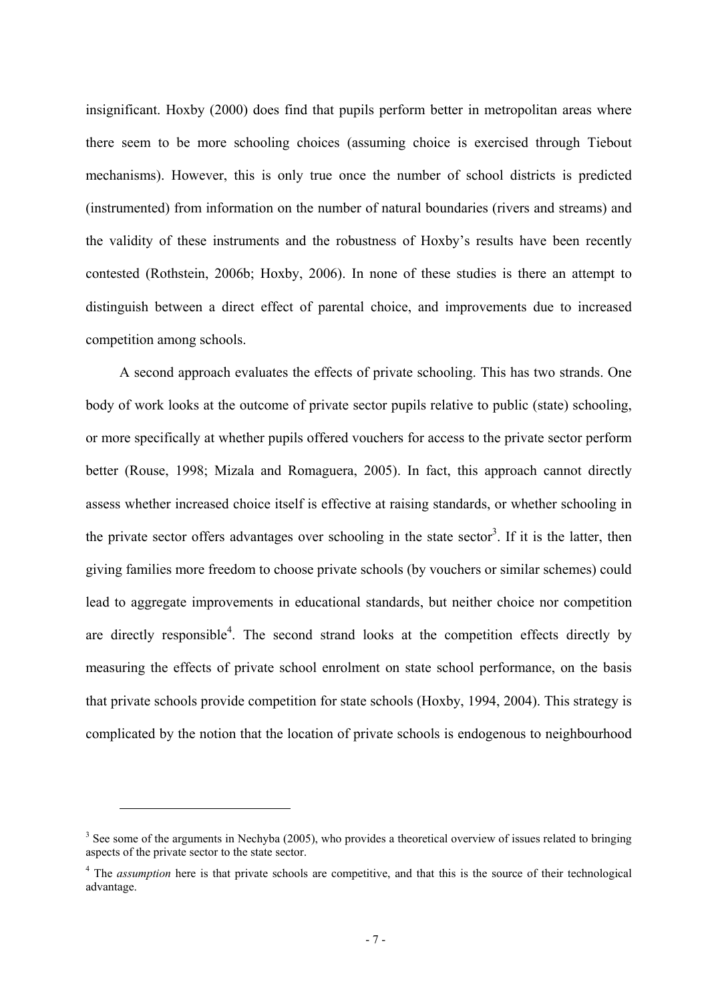insignificant. Hoxby (2000) does find that pupils perform better in metropolitan areas where there seem to be more schooling choices (assuming choice is exercised through Tiebout mechanisms). However, this is only true once the number of school districts is predicted (instrumented) from information on the number of natural boundaries (rivers and streams) and the validity of these instruments and the robustness of Hoxby's results have been recently contested (Rothstein, 2006b; Hoxby, 2006). In none of these studies is there an attempt to distinguish between a direct effect of parental choice, and improvements due to increased competition among schools.

A second approach evaluates the effects of private schooling. This has two strands. One body of work looks at the outcome of private sector pupils relative to public (state) schooling, or more specifically at whether pupils offered vouchers for access to the private sector perform better (Rouse, 1998; Mizala and Romaguera, 2005). In fact, this approach cannot directly assess whether increased choice itself is effective at raising standards, or whether schooling in the private sector offers advantages over schooling in the state sector<sup>3</sup>. If it is the latter, then giving families more freedom to choose private schools (by vouchers or similar schemes) could lead to aggregate improvements in educational standards, but neither choice nor competition are directly responsible<sup>4</sup>. The second strand looks at the competition effects directly by measuring the effects of private school enrolment on state school performance, on the basis that private schools provide competition for state schools (Hoxby, 1994, 2004). This strategy is complicated by the notion that the location of private schools is endogenous to neighbourhood

 $3$  See some of the arguments in Nechyba (2005), who provides a theoretical overview of issues related to bringing aspects of the private sector to the state sector.

<sup>&</sup>lt;sup>4</sup> The *assumption* here is that private schools are competitive, and that this is the source of their technological advantage.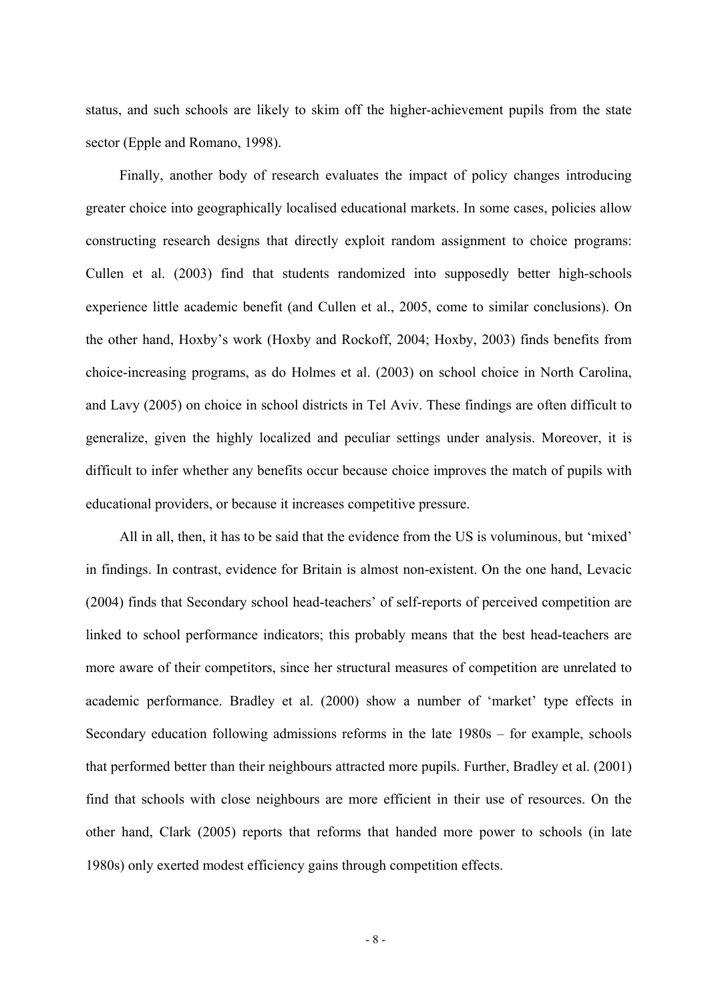status, and such schools are likely to skim off the higher-achievement pupils from the state sector (Epple and Romano, 1998).

Finally, another body of research evaluates the impact of policy changes introducing greater choice into geographically localised educational markets. In some cases, policies allow constructing research designs that directly exploit random assignment to choice programs: Cullen et al. (2003) find that students randomized into supposedly better high-schools experience little academic benefit (and Cullen et al., 2005, come to similar conclusions). On the other hand, Hoxby's work (Hoxby and Rockoff, 2004; Hoxby, 2003) finds benefits from choice-increasing programs, as do Holmes et al. (2003) on school choice in North Carolina, and Lavy (2005) on choice in school districts in Tel Aviv. These findings are often difficult to generalize, given the highly localized and peculiar settings under analysis. Moreover, it is difficult to infer whether any benefits occur because choice improves the match of pupils with educational providers, or because it increases competitive pressure.

All in all, then, it has to be said that the evidence from the US is voluminous, but 'mixed' in findings. In contrast, evidence for Britain is almost non-existent. On the one hand, Levacic (2004) finds that Secondary school head-teachers' of self-reports of perceived competition are linked to school performance indicators; this probably means that the best head-teachers are more aware of their competitors, since her structural measures of competition are unrelated to academic performance. Bradley et al. (2000) show a number of 'market' type effects in Secondary education following admissions reforms in the late 1980s – for example, schools that performed better than their neighbours attracted more pupils. Further, Bradley et al. (2001) find that schools with close neighbours are more efficient in their use of resources. On the other hand, Clark (2005) reports that reforms that handed more power to schools (in late 1980s) only exerted modest efficiency gains through competition effects.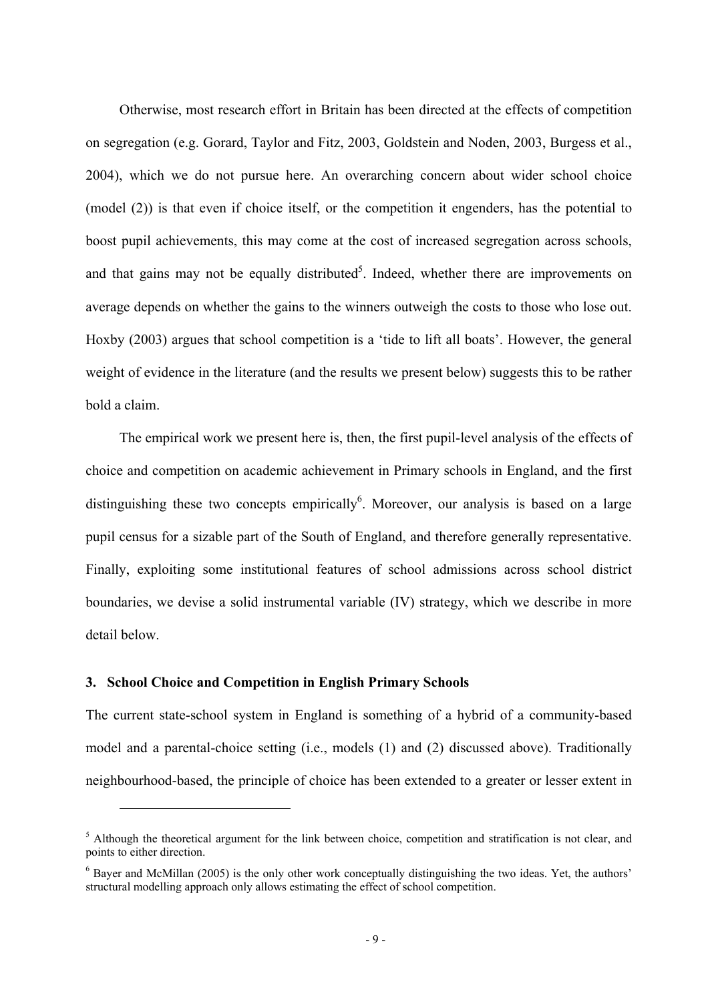Otherwise, most research effort in Britain has been directed at the effects of competition on segregation (e.g. Gorard, Taylor and Fitz, 2003, Goldstein and Noden, 2003, Burgess et al., 2004), which we do not pursue here. An overarching concern about wider school choice (model (2)) is that even if choice itself, or the competition it engenders, has the potential to boost pupil achievements, this may come at the cost of increased segregation across schools, and that gains may not be equally distributed<sup>5</sup>. Indeed, whether there are improvements on average depends on whether the gains to the winners outweigh the costs to those who lose out. Hoxby (2003) argues that school competition is a 'tide to lift all boats'. However, the general weight of evidence in the literature (and the results we present below) suggests this to be rather bold a claim.

The empirical work we present here is, then, the first pupil-level analysis of the effects of choice and competition on academic achievement in Primary schools in England, and the first distinguishing these two concepts empirically  $6$ . Moreover, our analysis is based on a large pupil census for a sizable part of the South of England, and therefore generally representative. Finally, exploiting some institutional features of school admissions across school district boundaries, we devise a solid instrumental variable (IV) strategy, which we describe in more detail below.

## **3. School Choice and Competition in English Primary Schools**

 $\overline{a}$ 

The current state-school system in England is something of a hybrid of a community-based model and a parental-choice setting (i.e., models (1) and (2) discussed above). Traditionally neighbourhood-based, the principle of choice has been extended to a greater or lesser extent in

 $<sup>5</sup>$  Although the theoretical argument for the link between choice, competition and stratification is not clear, and</sup> points to either direction.

<sup>&</sup>lt;sup>6</sup> Bayer and McMillan (2005) is the only other work conceptually distinguishing the two ideas. Yet, the authors' structural modelling approach only allows estimating the effect of school competition.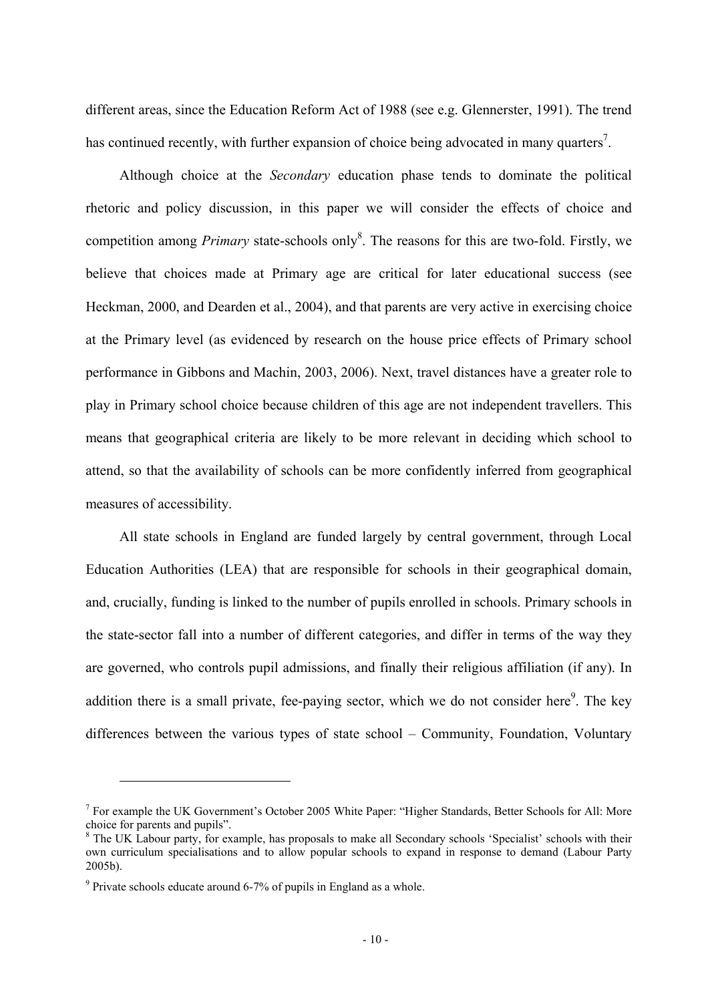different areas, since the Education Reform Act of 1988 (see e.g. Glennerster, 1991). The trend has continued recently, with further expansion of choice being advocated in many quarters<sup>7</sup>.

Although choice at the *Secondary* education phase tends to dominate the political rhetoric and policy discussion, in this paper we will consider the effects of choice and competition among *Primary* state-schools only<sup>8</sup>. The reasons for this are two-fold. Firstly, we believe that choices made at Primary age are critical for later educational success (see Heckman, 2000, and Dearden et al., 2004), and that parents are very active in exercising choice at the Primary level (as evidenced by research on the house price effects of Primary school performance in Gibbons and Machin, 2003, 2006). Next, travel distances have a greater role to play in Primary school choice because children of this age are not independent travellers. This means that geographical criteria are likely to be more relevant in deciding which school to attend, so that the availability of schools can be more confidently inferred from geographical measures of accessibility.

All state schools in England are funded largely by central government, through Local Education Authorities (LEA) that are responsible for schools in their geographical domain, and, crucially, funding is linked to the number of pupils enrolled in schools. Primary schools in the state-sector fall into a number of different categories, and differ in terms of the way they are governed, who controls pupil admissions, and finally their religious affiliation (if any). In addition there is a small private, fee-paying sector, which we do not consider here $9$ . The key differences between the various types of state school – Community, Foundation, Voluntary

<sup>&</sup>lt;sup>7</sup> For example the UK Government's October 2005 White Paper: "Higher Standards, Better Schools for All: More choice for parents and pupils".<br><sup>8</sup> The UK Labour party, for example, has proposals to make all Secondary schools 'Specialist' schools with their

own curriculum specialisations and to allow popular schools to expand in response to demand (Labour Party 2005b).

 $9$  Private schools educate around 6-7% of pupils in England as a whole.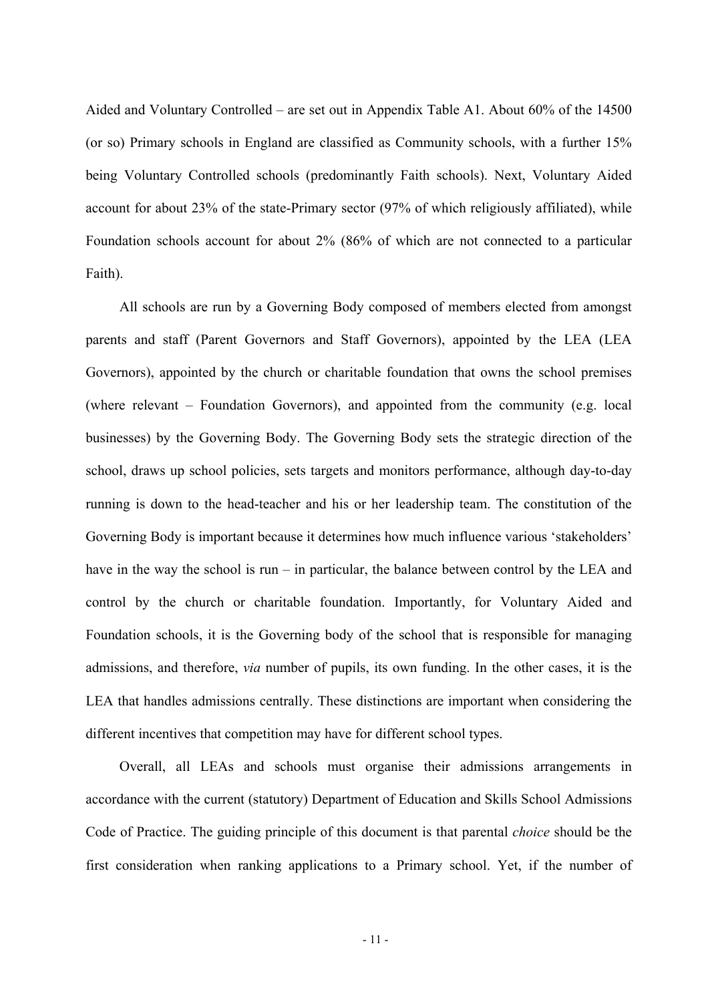Aided and Voluntary Controlled – are set out in Appendix Table A1. About 60% of the 14500 (or so) Primary schools in England are classified as Community schools, with a further 15% being Voluntary Controlled schools (predominantly Faith schools). Next, Voluntary Aided account for about 23% of the state-Primary sector (97% of which religiously affiliated), while Foundation schools account for about 2% (86% of which are not connected to a particular Faith).

All schools are run by a Governing Body composed of members elected from amongst parents and staff (Parent Governors and Staff Governors), appointed by the LEA (LEA Governors), appointed by the church or charitable foundation that owns the school premises (where relevant – Foundation Governors), and appointed from the community (e.g. local businesses) by the Governing Body. The Governing Body sets the strategic direction of the school, draws up school policies, sets targets and monitors performance, although day-to-day running is down to the head-teacher and his or her leadership team. The constitution of the Governing Body is important because it determines how much influence various 'stakeholders' have in the way the school is run – in particular, the balance between control by the LEA and control by the church or charitable foundation. Importantly, for Voluntary Aided and Foundation schools, it is the Governing body of the school that is responsible for managing admissions, and therefore, *via* number of pupils, its own funding. In the other cases, it is the LEA that handles admissions centrally. These distinctions are important when considering the different incentives that competition may have for different school types.

Overall, all LEAs and schools must organise their admissions arrangements in accordance with the current (statutory) Department of Education and Skills School Admissions Code of Practice. The guiding principle of this document is that parental *choice* should be the first consideration when ranking applications to a Primary school. Yet, if the number of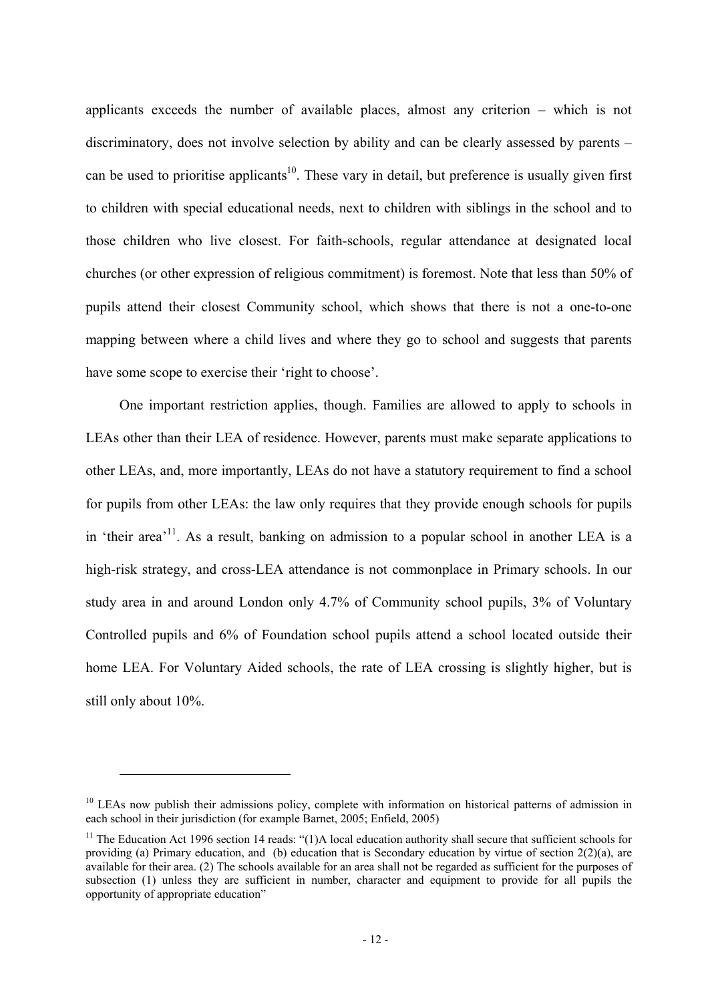applicants exceeds the number of available places, almost any criterion – which is not discriminatory, does not involve selection by ability and can be clearly assessed by parents – can be used to prioritise applicants<sup>10</sup>. These vary in detail, but preference is usually given first to children with special educational needs, next to children with siblings in the school and to those children who live closest. For faith-schools, regular attendance at designated local churches (or other expression of religious commitment) is foremost. Note that less than 50% of pupils attend their closest Community school, which shows that there is not a one-to-one mapping between where a child lives and where they go to school and suggests that parents have some scope to exercise their 'right to choose'.

One important restriction applies, though. Families are allowed to apply to schools in LEAs other than their LEA of residence. However, parents must make separate applications to other LEAs, and, more importantly, LEAs do not have a statutory requirement to find a school for pupils from other LEAs: the law only requires that they provide enough schools for pupils in 'their area'<sup>11</sup>. As a result, banking on admission to a popular school in another LEA is a high-risk strategy, and cross-LEA attendance is not commonplace in Primary schools. In our study area in and around London only 4.7% of Community school pupils, 3% of Voluntary Controlled pupils and 6% of Foundation school pupils attend a school located outside their home LEA. For Voluntary Aided schools, the rate of LEA crossing is slightly higher, but is still only about 10%.

<sup>&</sup>lt;sup>10</sup> LEAs now publish their admissions policy, complete with information on historical patterns of admission in each school in their jurisdiction (for example Barnet, 2005; Enfield, 2005)

<sup>&</sup>lt;sup>11</sup> The Education Act 1996 section 14 reads: "(1)A local education authority shall secure that sufficient schools for providing (a) Primary education, and (b) education that is Secondary education by virtue of section 2(2)(a), are available for their area. (2) The schools available for an area shall not be regarded as sufficient for the purposes of subsection (1) unless they are sufficient in number, character and equipment to provide for all pupils the opportunity of appropriate education"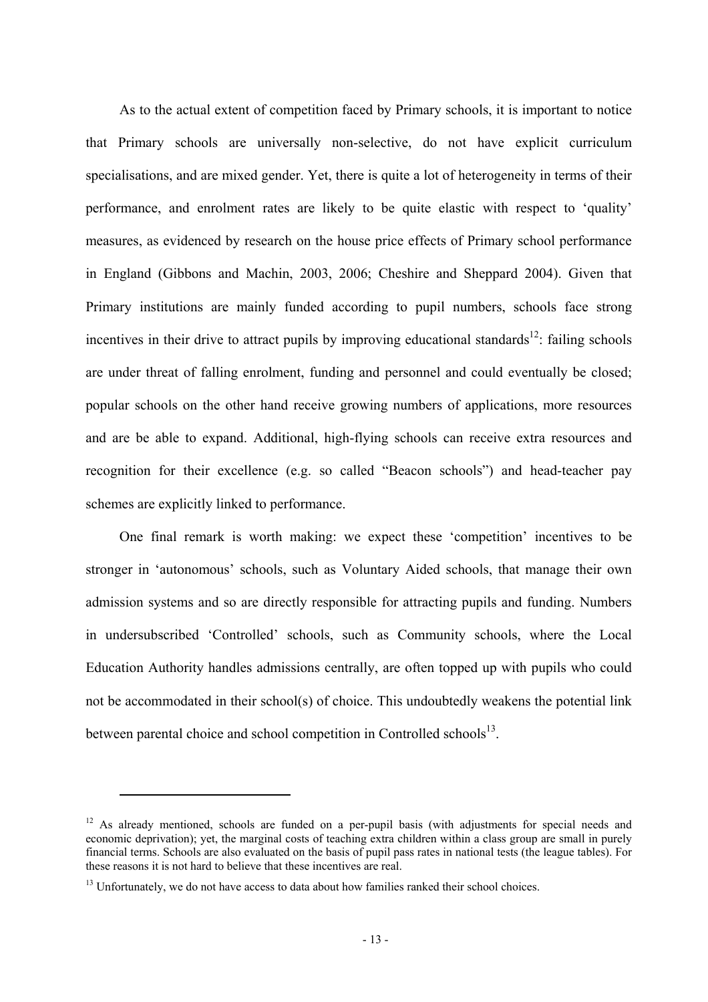As to the actual extent of competition faced by Primary schools, it is important to notice that Primary schools are universally non-selective, do not have explicit curriculum specialisations, and are mixed gender. Yet, there is quite a lot of heterogeneity in terms of their performance, and enrolment rates are likely to be quite elastic with respect to 'quality' measures, as evidenced by research on the house price effects of Primary school performance in England (Gibbons and Machin, 2003, 2006; Cheshire and Sheppard 2004). Given that Primary institutions are mainly funded according to pupil numbers, schools face strong incentives in their drive to attract pupils by improving educational standards<sup>12</sup>: failing schools are under threat of falling enrolment, funding and personnel and could eventually be closed; popular schools on the other hand receive growing numbers of applications, more resources and are be able to expand. Additional, high-flying schools can receive extra resources and recognition for their excellence (e.g. so called "Beacon schools") and head-teacher pay schemes are explicitly linked to performance.

One final remark is worth making: we expect these 'competition' incentives to be stronger in 'autonomous' schools, such as Voluntary Aided schools, that manage their own admission systems and so are directly responsible for attracting pupils and funding. Numbers in undersubscribed 'Controlled' schools, such as Community schools, where the Local Education Authority handles admissions centrally, are often topped up with pupils who could not be accommodated in their school(s) of choice. This undoubtedly weakens the potential link between parental choice and school competition in Controlled schools<sup>13</sup>.

<sup>&</sup>lt;sup>12</sup> As already mentioned, schools are funded on a per-pupil basis (with adjustments for special needs and economic deprivation); yet, the marginal costs of teaching extra children within a class group are small in purely financial terms. Schools are also evaluated on the basis of pupil pass rates in national tests (the league tables). For these reasons it is not hard to believe that these incentives are real.

 $<sup>13</sup>$  Unfortunately, we do not have access to data about how families ranked their school choices.</sup>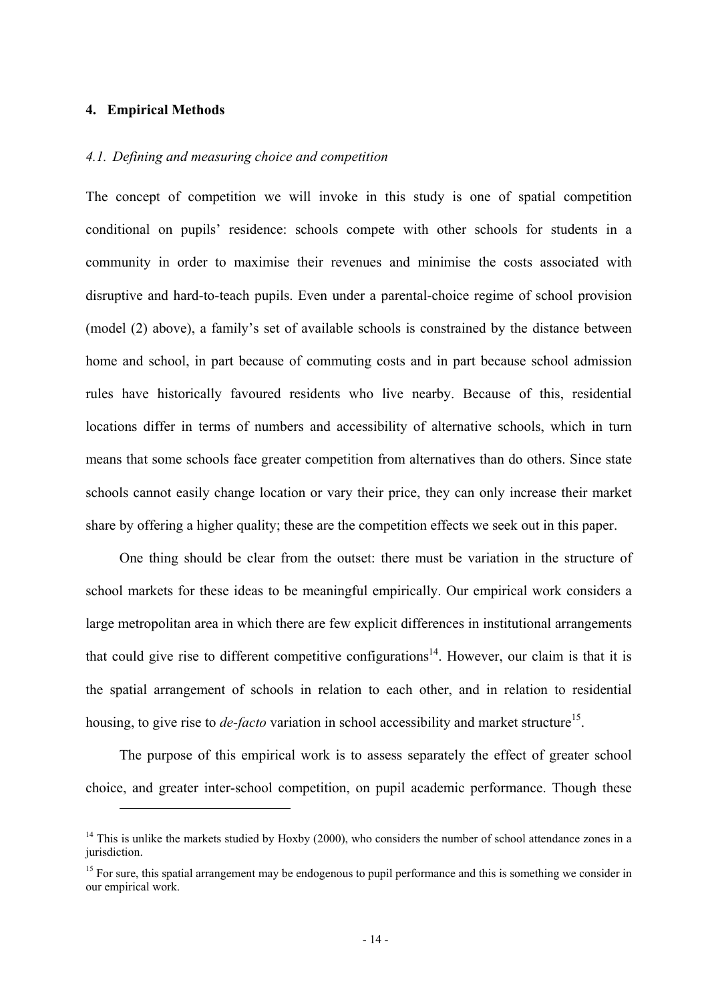## **4. Empirical Methods**

 $\overline{a}$ 

## *4.1. Defining and measuring choice and competition*

The concept of competition we will invoke in this study is one of spatial competition conditional on pupils' residence: schools compete with other schools for students in a community in order to maximise their revenues and minimise the costs associated with disruptive and hard-to-teach pupils. Even under a parental-choice regime of school provision (model (2) above), a family's set of available schools is constrained by the distance between home and school, in part because of commuting costs and in part because school admission rules have historically favoured residents who live nearby. Because of this, residential locations differ in terms of numbers and accessibility of alternative schools, which in turn means that some schools face greater competition from alternatives than do others. Since state schools cannot easily change location or vary their price, they can only increase their market share by offering a higher quality; these are the competition effects we seek out in this paper.

One thing should be clear from the outset: there must be variation in the structure of school markets for these ideas to be meaningful empirically. Our empirical work considers a large metropolitan area in which there are few explicit differences in institutional arrangements that could give rise to different competitive configurations<sup>14</sup>. However, our claim is that it is the spatial arrangement of schools in relation to each other, and in relation to residential housing, to give rise to *de-facto* variation in school accessibility and market structure<sup>15</sup>.

The purpose of this empirical work is to assess separately the effect of greater school choice, and greater inter-school competition, on pupil academic performance. Though these

 $14$  This is unlike the markets studied by Hoxby (2000), who considers the number of school attendance zones in a jurisdiction.

 $<sup>15</sup>$  For sure, this spatial arrangement may be endogenous to pupil performance and this is something we consider in</sup> our empirical work.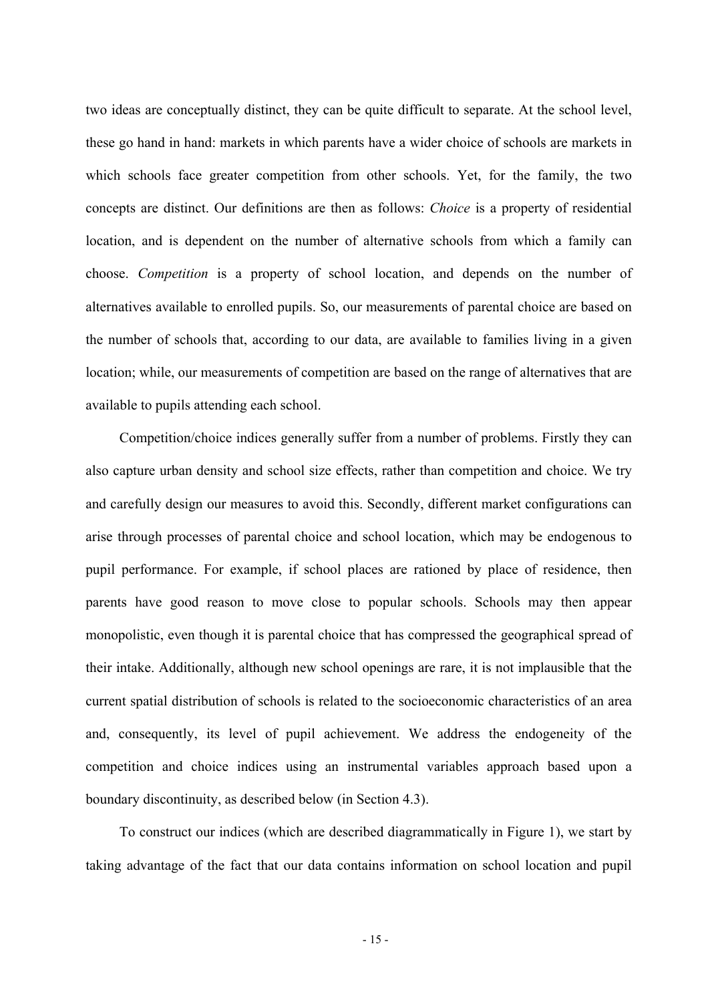two ideas are conceptually distinct, they can be quite difficult to separate. At the school level, these go hand in hand: markets in which parents have a wider choice of schools are markets in which schools face greater competition from other schools. Yet, for the family, the two concepts are distinct. Our definitions are then as follows: *Choice* is a property of residential location, and is dependent on the number of alternative schools from which a family can choose. *Competition* is a property of school location, and depends on the number of alternatives available to enrolled pupils. So, our measurements of parental choice are based on the number of schools that, according to our data, are available to families living in a given location; while, our measurements of competition are based on the range of alternatives that are available to pupils attending each school.

Competition/choice indices generally suffer from a number of problems. Firstly they can also capture urban density and school size effects, rather than competition and choice. We try and carefully design our measures to avoid this. Secondly, different market configurations can arise through processes of parental choice and school location, which may be endogenous to pupil performance. For example, if school places are rationed by place of residence, then parents have good reason to move close to popular schools. Schools may then appear monopolistic, even though it is parental choice that has compressed the geographical spread of their intake. Additionally, although new school openings are rare, it is not implausible that the current spatial distribution of schools is related to the socioeconomic characteristics of an area and, consequently, its level of pupil achievement. We address the endogeneity of the competition and choice indices using an instrumental variables approach based upon a boundary discontinuity, as described below (in Section 4.3).

To construct our indices (which are described diagrammatically in Figure 1), we start by taking advantage of the fact that our data contains information on school location and pupil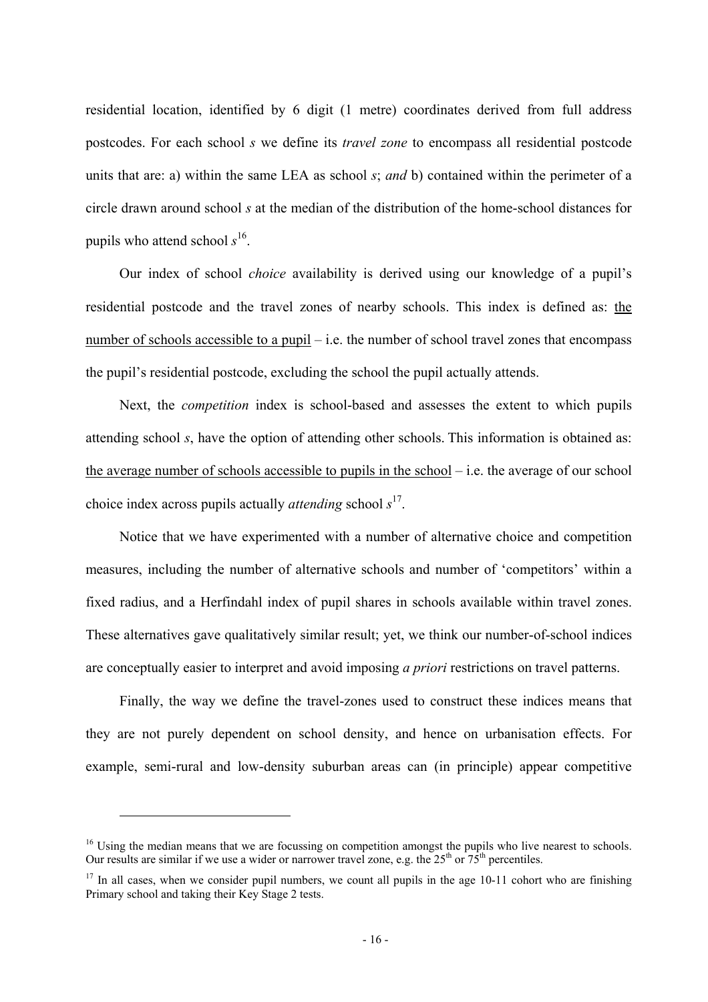residential location, identified by 6 digit (1 metre) coordinates derived from full address postcodes. For each school *s* we define its *travel zone* to encompass all residential postcode units that are: a) within the same LEA as school *s*; *and* b) contained within the perimeter of a circle drawn around school *s* at the median of the distribution of the home-school distances for pupils who attend school *s* 16.

Our index of school *choice* availability is derived using our knowledge of a pupil's residential postcode and the travel zones of nearby schools. This index is defined as: the number of schools accessible to a pupil – i.e. the number of school travel zones that encompass the pupil's residential postcode, excluding the school the pupil actually attends.

Next, the *competition* index is school-based and assesses the extent to which pupils attending school *s*, have the option of attending other schools. This information is obtained as: the average number of schools accessible to pupils in the school – i.e. the average of our school choice index across pupils actually *attending* school *s* 17.

Notice that we have experimented with a number of alternative choice and competition measures, including the number of alternative schools and number of 'competitors' within a fixed radius, and a Herfindahl index of pupil shares in schools available within travel zones. These alternatives gave qualitatively similar result; yet, we think our number-of-school indices are conceptually easier to interpret and avoid imposing *a priori* restrictions on travel patterns.

Finally, the way we define the travel-zones used to construct these indices means that they are not purely dependent on school density, and hence on urbanisation effects. For example, semi-rural and low-density suburban areas can (in principle) appear competitive

<sup>&</sup>lt;sup>16</sup> Using the median means that we are focussing on competition amongst the pupils who live nearest to schools. Our results are similar if we use a wider or narrower travel zone, e.g. the  $25<sup>th</sup>$  or  $75<sup>th</sup>$  percentiles.

 $17$  In all cases, when we consider pupil numbers, we count all pupils in the age 10-11 cohort who are finishing Primary school and taking their Key Stage 2 tests.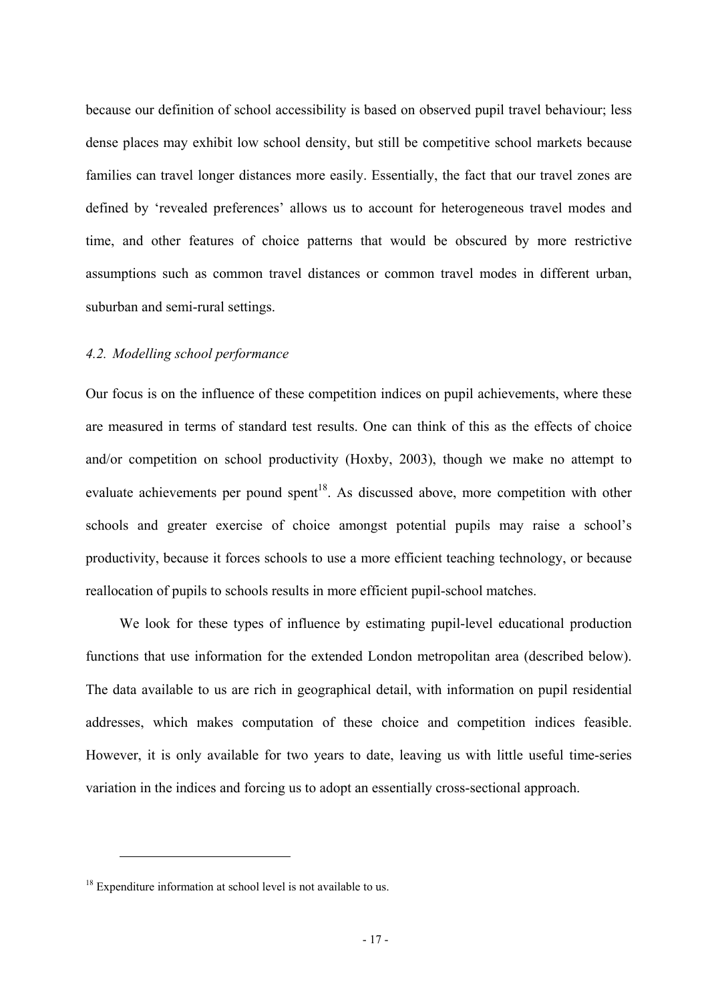because our definition of school accessibility is based on observed pupil travel behaviour; less dense places may exhibit low school density, but still be competitive school markets because families can travel longer distances more easily. Essentially, the fact that our travel zones are defined by 'revealed preferences' allows us to account for heterogeneous travel modes and time, and other features of choice patterns that would be obscured by more restrictive assumptions such as common travel distances or common travel modes in different urban, suburban and semi-rural settings.

### *4.2. Modelling school performance*

Our focus is on the influence of these competition indices on pupil achievements, where these are measured in terms of standard test results. One can think of this as the effects of choice and/or competition on school productivity (Hoxby, 2003), though we make no attempt to evaluate achievements per pound spent<sup>18</sup>. As discussed above, more competition with other schools and greater exercise of choice amongst potential pupils may raise a school's productivity, because it forces schools to use a more efficient teaching technology, or because reallocation of pupils to schools results in more efficient pupil-school matches.

We look for these types of influence by estimating pupil-level educational production functions that use information for the extended London metropolitan area (described below). The data available to us are rich in geographical detail, with information on pupil residential addresses, which makes computation of these choice and competition indices feasible. However, it is only available for two years to date, leaving us with little useful time-series variation in the indices and forcing us to adopt an essentially cross-sectional approach.

 $18$  Expenditure information at school level is not available to us.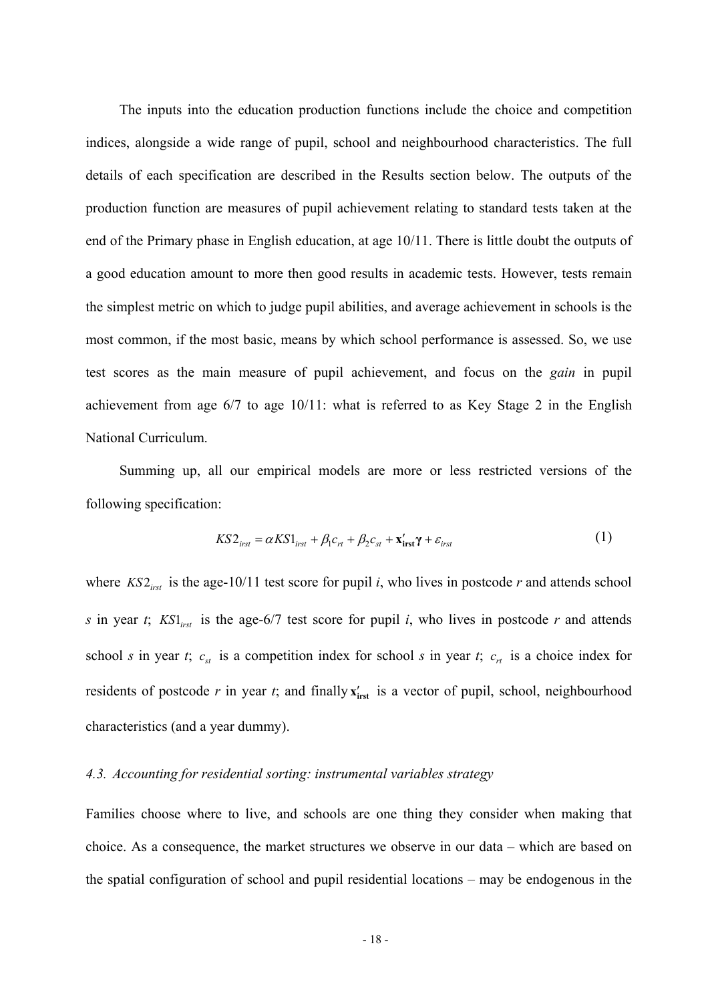The inputs into the education production functions include the choice and competition indices, alongside a wide range of pupil, school and neighbourhood characteristics. The full details of each specification are described in the Results section below. The outputs of the production function are measures of pupil achievement relating to standard tests taken at the end of the Primary phase in English education, at age 10/11. There is little doubt the outputs of a good education amount to more then good results in academic tests. However, tests remain the simplest metric on which to judge pupil abilities, and average achievement in schools is the most common, if the most basic, means by which school performance is assessed. So, we use test scores as the main measure of pupil achievement, and focus on the *gain* in pupil achievement from age 6/7 to age 10/11: what is referred to as Key Stage 2 in the English National Curriculum.

Summing up, all our empirical models are more or less restricted versions of the following specification:

$$
KS2_{irst} = \alpha KS1_{irst} + \beta_1 c_{rt} + \beta_2 c_{st} + \mathbf{x'_{irst}} \gamma + \varepsilon_{irst}
$$
 (1)

where  $KST_{\text{first}}$  is the age-10/11 test score for pupil *i*, who lives in postcode *r* and attends school *s* in year *t*;  $KSI<sub>irst</sub>$  is the age-6/7 test score for pupil *i*, who lives in postcode *r* and attends school *s* in year *t*;  $c_{st}$  is a competition index for school *s* in year *t*;  $c_{rt}$  is a choice index for residents of postcode  $r$  in year  $t$ ; and finally  $\mathbf{x}_{\text{inst}}'$  is a vector of pupil, school, neighbourhood characteristics (and a year dummy).

## *4.3. Accounting for residential sorting: instrumental variables strategy*

Families choose where to live, and schools are one thing they consider when making that choice. As a consequence, the market structures we observe in our data – which are based on the spatial configuration of school and pupil residential locations – may be endogenous in the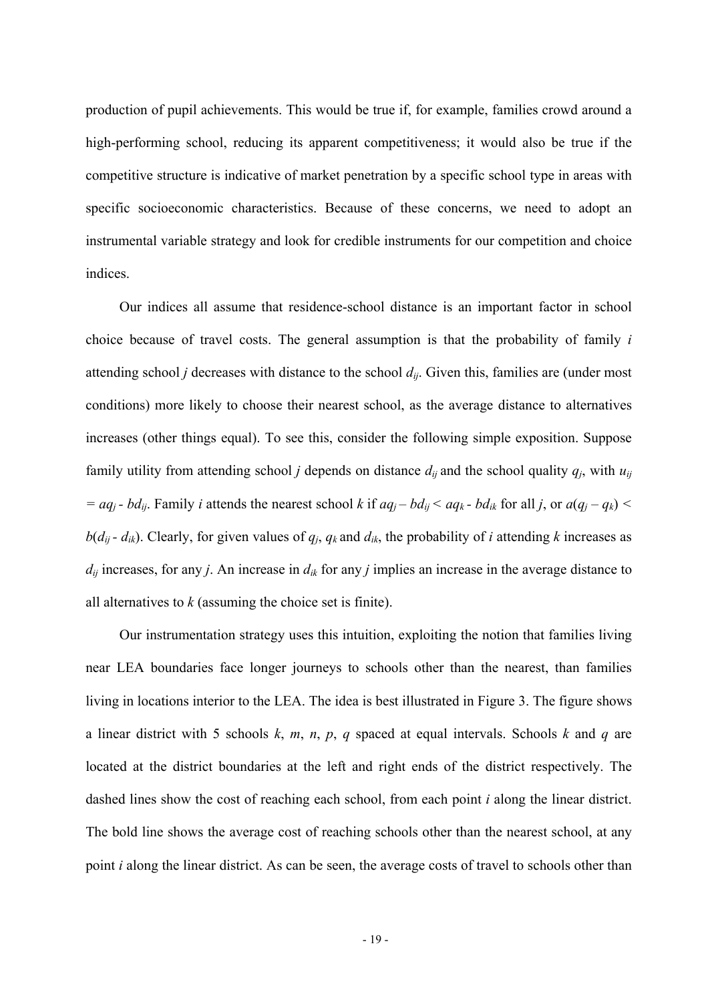production of pupil achievements. This would be true if, for example, families crowd around a high-performing school, reducing its apparent competitiveness; it would also be true if the competitive structure is indicative of market penetration by a specific school type in areas with specific socioeconomic characteristics. Because of these concerns, we need to adopt an instrumental variable strategy and look for credible instruments for our competition and choice indices.

Our indices all assume that residence-school distance is an important factor in school choice because of travel costs. The general assumption is that the probability of family *i* attending school *j* decreases with distance to the school *dij*. Given this, families are (under most conditions) more likely to choose their nearest school, as the average distance to alternatives increases (other things equal). To see this, consider the following simple exposition. Suppose family utility from attending school *j* depends on distance  $d_{ij}$  and the school quality  $q_j$ , with  $u_{ij}$  $= aq_j - bd_{ij}$ . Family *i* attends the nearest school *k* if  $aq_j - bd_{ij} < aq_k - bd_{ik}$  for all *j*, or  $a(q_j - q_k) < a$  $b(d_{ij} - d_{ik})$ . Clearly, for given values of  $q_i$ ,  $q_k$  and  $d_{ik}$ , the probability of *i* attending *k* increases as  $d_{ij}$  increases, for any *j*. An increase in  $d_{ik}$  for any *j* implies an increase in the average distance to all alternatives to *k* (assuming the choice set is finite).

Our instrumentation strategy uses this intuition, exploiting the notion that families living near LEA boundaries face longer journeys to schools other than the nearest, than families living in locations interior to the LEA. The idea is best illustrated in Figure 3. The figure shows a linear district with 5 schools *k*, *m*, *n*, *p*, *q* spaced at equal intervals. Schools *k* and *q* are located at the district boundaries at the left and right ends of the district respectively. The dashed lines show the cost of reaching each school, from each point *i* along the linear district. The bold line shows the average cost of reaching schools other than the nearest school, at any point *i* along the linear district. As can be seen, the average costs of travel to schools other than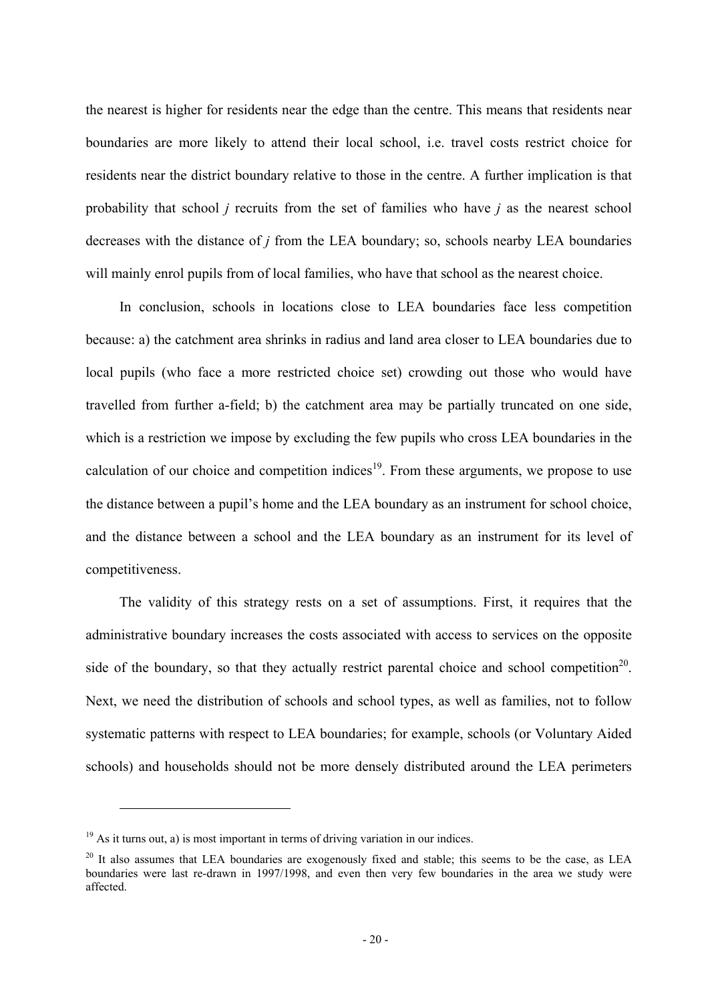the nearest is higher for residents near the edge than the centre. This means that residents near boundaries are more likely to attend their local school, i.e. travel costs restrict choice for residents near the district boundary relative to those in the centre. A further implication is that probability that school *j* recruits from the set of families who have *j* as the nearest school decreases with the distance of *j* from the LEA boundary; so, schools nearby LEA boundaries will mainly enrol pupils from of local families, who have that school as the nearest choice.

In conclusion, schools in locations close to LEA boundaries face less competition because: a) the catchment area shrinks in radius and land area closer to LEA boundaries due to local pupils (who face a more restricted choice set) crowding out those who would have travelled from further a-field; b) the catchment area may be partially truncated on one side, which is a restriction we impose by excluding the few pupils who cross LEA boundaries in the calculation of our choice and competition indices<sup>19</sup>. From these arguments, we propose to use the distance between a pupil's home and the LEA boundary as an instrument for school choice, and the distance between a school and the LEA boundary as an instrument for its level of competitiveness.

The validity of this strategy rests on a set of assumptions. First, it requires that the administrative boundary increases the costs associated with access to services on the opposite side of the boundary, so that they actually restrict parental choice and school competition<sup>20</sup>. Next, we need the distribution of schools and school types, as well as families, not to follow systematic patterns with respect to LEA boundaries; for example, schools (or Voluntary Aided schools) and households should not be more densely distributed around the LEA perimeters

 $19$  As it turns out, a) is most important in terms of driving variation in our indices.

<sup>&</sup>lt;sup>20</sup> It also assumes that LEA boundaries are exogenously fixed and stable; this seems to be the case, as LEA boundaries were last re-drawn in 1997/1998, and even then very few boundaries in the area we study were affected.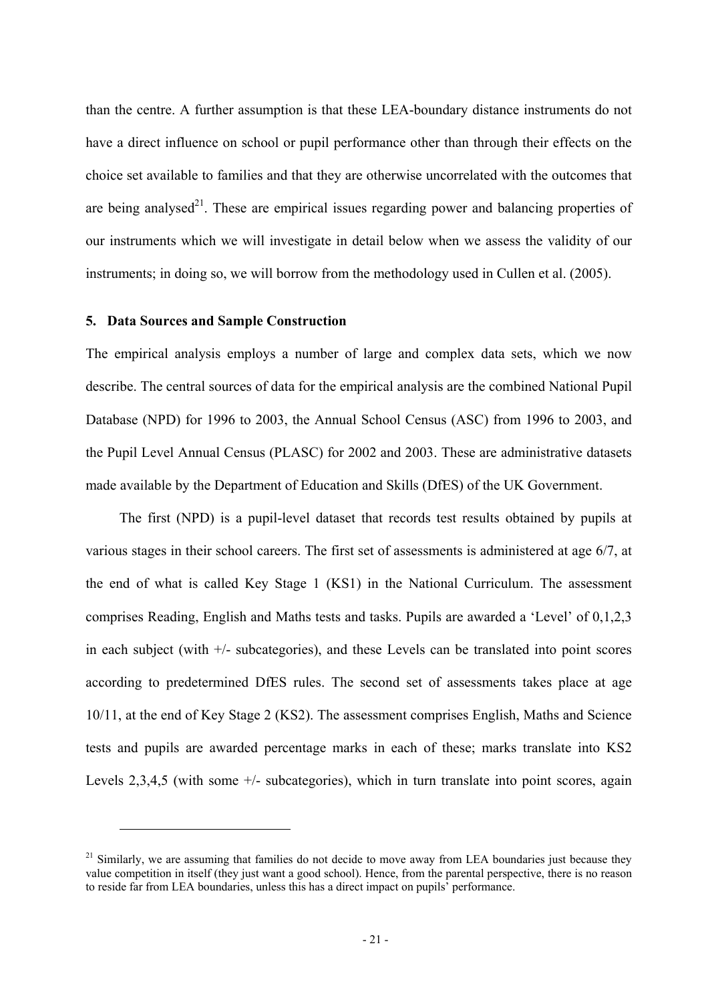than the centre. A further assumption is that these LEA-boundary distance instruments do not have a direct influence on school or pupil performance other than through their effects on the choice set available to families and that they are otherwise uncorrelated with the outcomes that are being analysed<sup>21</sup>. These are empirical issues regarding power and balancing properties of our instruments which we will investigate in detail below when we assess the validity of our instruments; in doing so, we will borrow from the methodology used in Cullen et al. (2005).

### **5. Data Sources and Sample Construction**

 $\overline{a}$ 

The empirical analysis employs a number of large and complex data sets, which we now describe. The central sources of data for the empirical analysis are the combined National Pupil Database (NPD) for 1996 to 2003, the Annual School Census (ASC) from 1996 to 2003, and the Pupil Level Annual Census (PLASC) for 2002 and 2003. These are administrative datasets made available by the Department of Education and Skills (DfES) of the UK Government.

The first (NPD) is a pupil-level dataset that records test results obtained by pupils at various stages in their school careers. The first set of assessments is administered at age 6/7, at the end of what is called Key Stage 1 (KS1) in the National Curriculum. The assessment comprises Reading, English and Maths tests and tasks. Pupils are awarded a 'Level' of 0,1,2,3 in each subject (with  $+/-$  subcategories), and these Levels can be translated into point scores according to predetermined DfES rules. The second set of assessments takes place at age 10/11, at the end of Key Stage 2 (KS2). The assessment comprises English, Maths and Science tests and pupils are awarded percentage marks in each of these; marks translate into KS2 Levels  $2,3,4,5$  (with some  $+\prime$ - subcategories), which in turn translate into point scores, again

<sup>&</sup>lt;sup>21</sup> Similarly, we are assuming that families do not decide to move away from LEA boundaries just because they value competition in itself (they just want a good school). Hence, from the parental perspective, there is no reason to reside far from LEA boundaries, unless this has a direct impact on pupils' performance.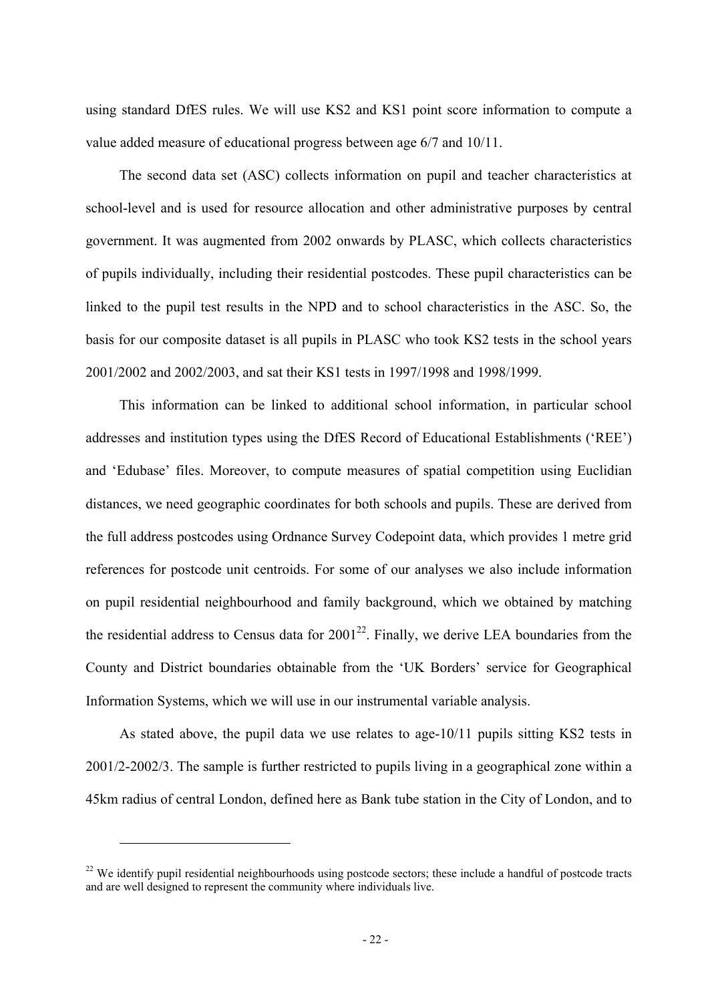using standard DfES rules. We will use KS2 and KS1 point score information to compute a value added measure of educational progress between age 6/7 and 10/11.

The second data set (ASC) collects information on pupil and teacher characteristics at school-level and is used for resource allocation and other administrative purposes by central government. It was augmented from 2002 onwards by PLASC, which collects characteristics of pupils individually, including their residential postcodes. These pupil characteristics can be linked to the pupil test results in the NPD and to school characteristics in the ASC. So, the basis for our composite dataset is all pupils in PLASC who took KS2 tests in the school years 2001/2002 and 2002/2003, and sat their KS1 tests in 1997/1998 and 1998/1999.

This information can be linked to additional school information, in particular school addresses and institution types using the DfES Record of Educational Establishments ('REE') and 'Edubase' files. Moreover, to compute measures of spatial competition using Euclidian distances, we need geographic coordinates for both schools and pupils. These are derived from the full address postcodes using Ordnance Survey Codepoint data, which provides 1 metre grid references for postcode unit centroids. For some of our analyses we also include information on pupil residential neighbourhood and family background, which we obtained by matching the residential address to Census data for  $2001^{22}$ . Finally, we derive LEA boundaries from the County and District boundaries obtainable from the 'UK Borders' service for Geographical Information Systems, which we will use in our instrumental variable analysis.

As stated above, the pupil data we use relates to age-10/11 pupils sitting KS2 tests in 2001/2-2002/3. The sample is further restricted to pupils living in a geographical zone within a 45km radius of central London, defined here as Bank tube station in the City of London, and to

<sup>&</sup>lt;sup>22</sup> We identify pupil residential neighbourhoods using postcode sectors; these include a handful of postcode tracts and are well designed to represent the community where individuals live.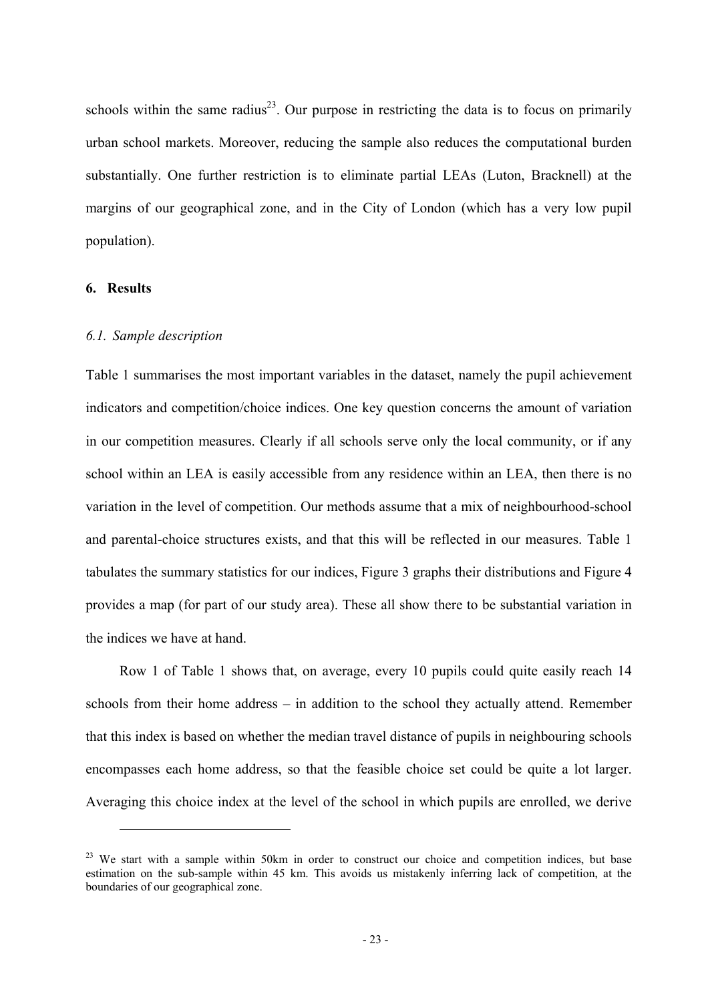schools within the same radius<sup>23</sup>. Our purpose in restricting the data is to focus on primarily urban school markets. Moreover, reducing the sample also reduces the computational burden substantially. One further restriction is to eliminate partial LEAs (Luton, Bracknell) at the margins of our geographical zone, and in the City of London (which has a very low pupil population).

## **6. Results**

 $\overline{a}$ 

## *6.1. Sample description*

Table 1 summarises the most important variables in the dataset, namely the pupil achievement indicators and competition/choice indices. One key question concerns the amount of variation in our competition measures. Clearly if all schools serve only the local community, or if any school within an LEA is easily accessible from any residence within an LEA, then there is no variation in the level of competition. Our methods assume that a mix of neighbourhood-school and parental-choice structures exists, and that this will be reflected in our measures. Table 1 tabulates the summary statistics for our indices, Figure 3 graphs their distributions and Figure 4 provides a map (for part of our study area). These all show there to be substantial variation in the indices we have at hand.

Row 1 of Table 1 shows that, on average, every 10 pupils could quite easily reach 14 schools from their home address – in addition to the school they actually attend. Remember that this index is based on whether the median travel distance of pupils in neighbouring schools encompasses each home address, so that the feasible choice set could be quite a lot larger. Averaging this choice index at the level of the school in which pupils are enrolled, we derive

<sup>&</sup>lt;sup>23</sup> We start with a sample within 50km in order to construct our choice and competition indices, but base estimation on the sub-sample within 45 km. This avoids us mistakenly inferring lack of competition, at the boundaries of our geographical zone.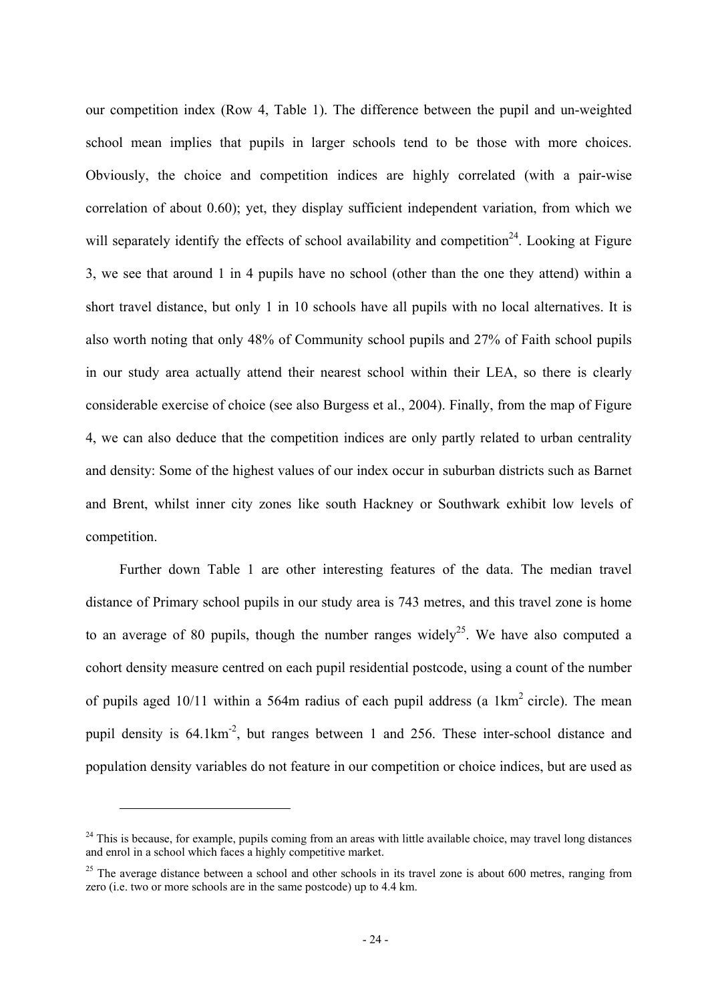our competition index (Row 4, Table 1). The difference between the pupil and un-weighted school mean implies that pupils in larger schools tend to be those with more choices. Obviously, the choice and competition indices are highly correlated (with a pair-wise correlation of about 0.60); yet, they display sufficient independent variation, from which we will separately identify the effects of school availability and competition<sup>24</sup>. Looking at Figure 3, we see that around 1 in 4 pupils have no school (other than the one they attend) within a short travel distance, but only 1 in 10 schools have all pupils with no local alternatives. It is also worth noting that only 48% of Community school pupils and 27% of Faith school pupils in our study area actually attend their nearest school within their LEA, so there is clearly considerable exercise of choice (see also Burgess et al., 2004). Finally, from the map of Figure 4, we can also deduce that the competition indices are only partly related to urban centrality and density: Some of the highest values of our index occur in suburban districts such as Barnet and Brent, whilst inner city zones like south Hackney or Southwark exhibit low levels of competition.

Further down Table 1 are other interesting features of the data. The median travel distance of Primary school pupils in our study area is 743 metres, and this travel zone is home to an average of 80 pupils, though the number ranges widely<sup>25</sup>. We have also computed a cohort density measure centred on each pupil residential postcode, using a count of the number of pupils aged  $10/11$  within a 564m radius of each pupil address (a 1km<sup>2</sup> circle). The mean pupil density is 64.1km-2, but ranges between 1 and 256. These inter-school distance and population density variables do not feature in our competition or choice indices, but are used as

 $24$  This is because, for example, pupils coming from an areas with little available choice, may travel long distances and enrol in a school which faces a highly competitive market.

 $25$  The average distance between a school and other schools in its travel zone is about 600 metres, ranging from zero (i.e. two or more schools are in the same postcode) up to 4.4 km.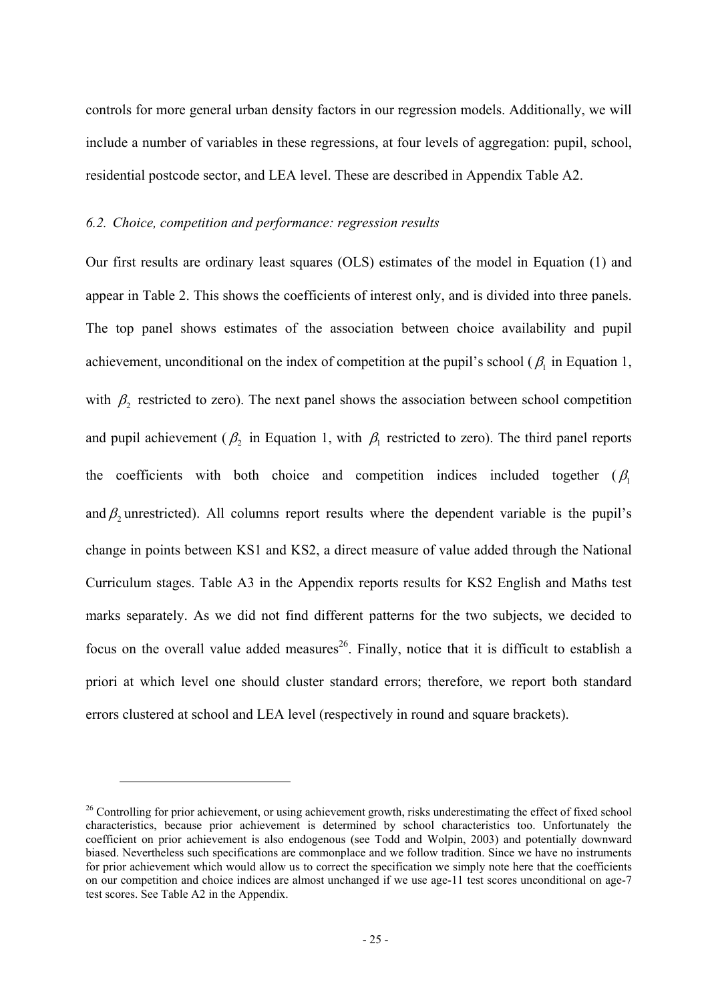controls for more general urban density factors in our regression models. Additionally, we will include a number of variables in these regressions, at four levels of aggregation: pupil, school, residential postcode sector, and LEA level. These are described in Appendix Table A2.

## *6.2. Choice, competition and performance: regression results*

 $\overline{a}$ 

Our first results are ordinary least squares (OLS) estimates of the model in Equation (1) and appear in Table 2. This shows the coefficients of interest only, and is divided into three panels. The top panel shows estimates of the association between choice availability and pupil achievement, unconditional on the index of competition at the pupil's school ( $\beta_1$  in Equation 1, with  $\beta_2$  restricted to zero). The next panel shows the association between school competition and pupil achievement ( $\beta_2$  in Equation 1, with  $\beta_1$  restricted to zero). The third panel reports the coefficients with both choice and competition indices included together ( $\beta$ <sub>1</sub> and  $\beta_2$  unrestricted). All columns report results where the dependent variable is the pupil's change in points between KS1 and KS2, a direct measure of value added through the National Curriculum stages. Table A3 in the Appendix reports results for KS2 English and Maths test marks separately. As we did not find different patterns for the two subjects, we decided to focus on the overall value added measures<sup>26</sup>. Finally, notice that it is difficult to establish a priori at which level one should cluster standard errors; therefore, we report both standard errors clustered at school and LEA level (respectively in round and square brackets).

<sup>&</sup>lt;sup>26</sup> Controlling for prior achievement, or using achievement growth, risks underestimating the effect of fixed school characteristics, because prior achievement is determined by school characteristics too. Unfortunately the coefficient on prior achievement is also endogenous (see Todd and Wolpin, 2003) and potentially downward biased. Nevertheless such specifications are commonplace and we follow tradition. Since we have no instruments for prior achievement which would allow us to correct the specification we simply note here that the coefficients on our competition and choice indices are almost unchanged if we use age-11 test scores unconditional on age-7 test scores. See Table A2 in the Appendix.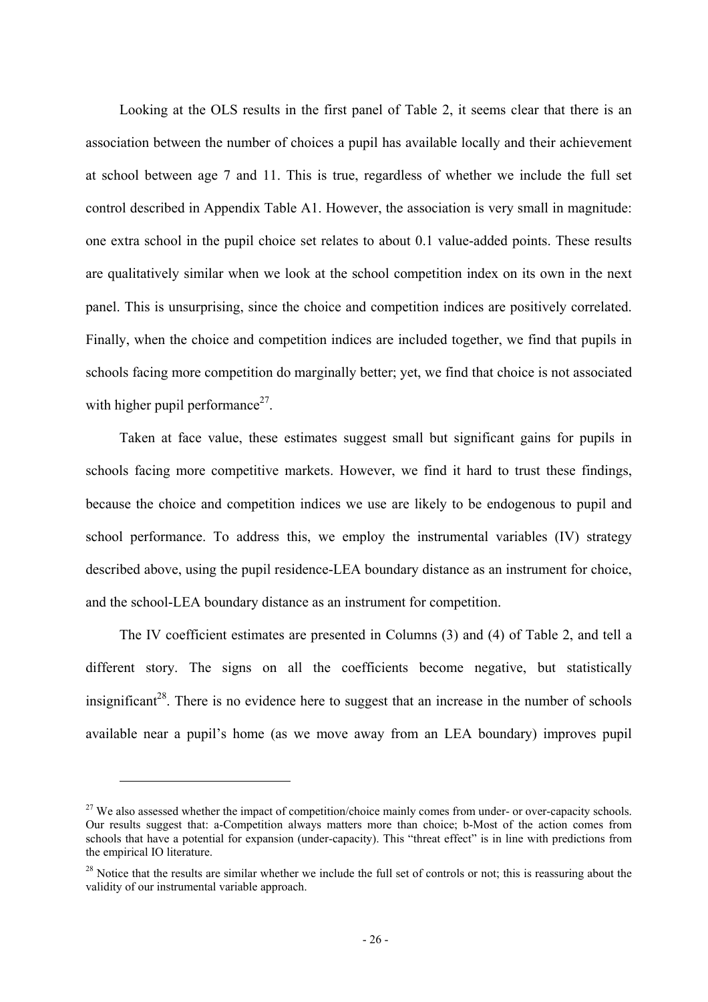Looking at the OLS results in the first panel of Table 2, it seems clear that there is an association between the number of choices a pupil has available locally and their achievement at school between age 7 and 11. This is true, regardless of whether we include the full set control described in Appendix Table A1. However, the association is very small in magnitude: one extra school in the pupil choice set relates to about 0.1 value-added points. These results are qualitatively similar when we look at the school competition index on its own in the next panel. This is unsurprising, since the choice and competition indices are positively correlated. Finally, when the choice and competition indices are included together, we find that pupils in schools facing more competition do marginally better; yet, we find that choice is not associated with higher pupil performance<sup>27</sup>.

Taken at face value, these estimates suggest small but significant gains for pupils in schools facing more competitive markets. However, we find it hard to trust these findings, because the choice and competition indices we use are likely to be endogenous to pupil and school performance. To address this, we employ the instrumental variables (IV) strategy described above, using the pupil residence-LEA boundary distance as an instrument for choice, and the school-LEA boundary distance as an instrument for competition.

The IV coefficient estimates are presented in Columns (3) and (4) of Table 2, and tell a different story. The signs on all the coefficients become negative, but statistically insignificant<sup>28</sup>. There is no evidence here to suggest that an increase in the number of schools available near a pupil's home (as we move away from an LEA boundary) improves pupil

<sup>&</sup>lt;sup>27</sup> We also assessed whether the impact of competition/choice mainly comes from under- or over-capacity schools. Our results suggest that: a-Competition always matters more than choice; b-Most of the action comes from schools that have a potential for expansion (under-capacity). This "threat effect" is in line with predictions from the empirical IO literature.

<sup>&</sup>lt;sup>28</sup> Notice that the results are similar whether we include the full set of controls or not; this is reassuring about the validity of our instrumental variable approach.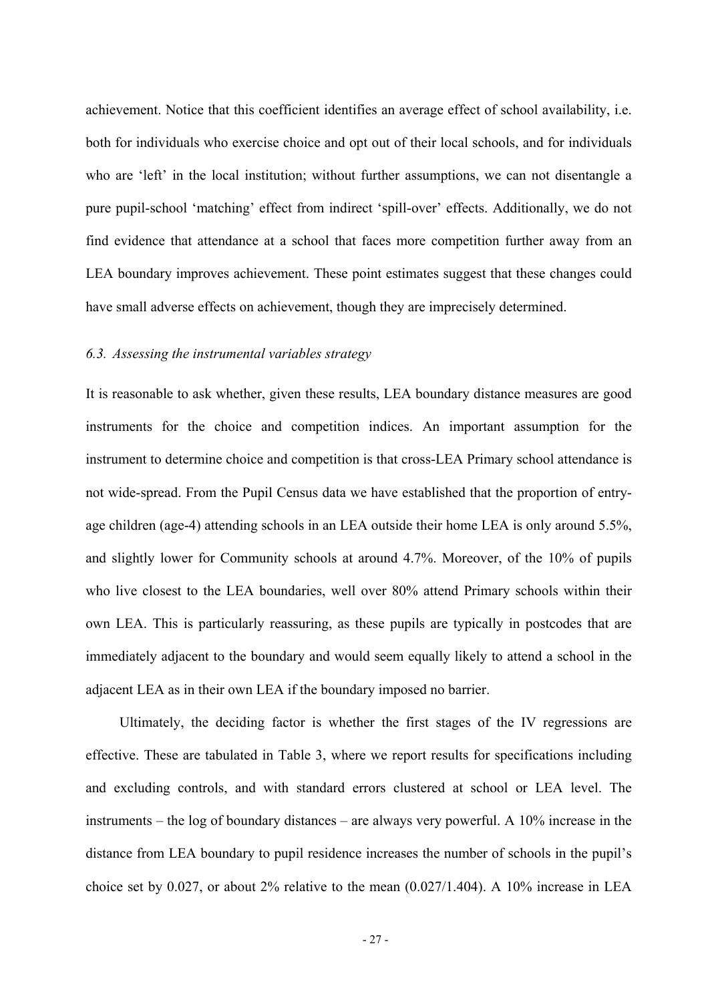achievement. Notice that this coefficient identifies an average effect of school availability, i.e. both for individuals who exercise choice and opt out of their local schools, and for individuals who are 'left' in the local institution; without further assumptions, we can not disentangle a pure pupil-school 'matching' effect from indirect 'spill-over' effects. Additionally, we do not find evidence that attendance at a school that faces more competition further away from an LEA boundary improves achievement. These point estimates suggest that these changes could have small adverse effects on achievement, though they are imprecisely determined.

### *6.3. Assessing the instrumental variables strategy*

It is reasonable to ask whether, given these results, LEA boundary distance measures are good instruments for the choice and competition indices. An important assumption for the instrument to determine choice and competition is that cross-LEA Primary school attendance is not wide-spread. From the Pupil Census data we have established that the proportion of entryage children (age-4) attending schools in an LEA outside their home LEA is only around 5.5%, and slightly lower for Community schools at around 4.7%. Moreover, of the 10% of pupils who live closest to the LEA boundaries, well over 80% attend Primary schools within their own LEA. This is particularly reassuring, as these pupils are typically in postcodes that are immediately adjacent to the boundary and would seem equally likely to attend a school in the adjacent LEA as in their own LEA if the boundary imposed no barrier.

Ultimately, the deciding factor is whether the first stages of the IV regressions are effective. These are tabulated in Table 3, where we report results for specifications including and excluding controls, and with standard errors clustered at school or LEA level. The instruments – the log of boundary distances – are always very powerful. A 10% increase in the distance from LEA boundary to pupil residence increases the number of schools in the pupil's choice set by 0.027, or about 2% relative to the mean (0.027/1.404). A 10% increase in LEA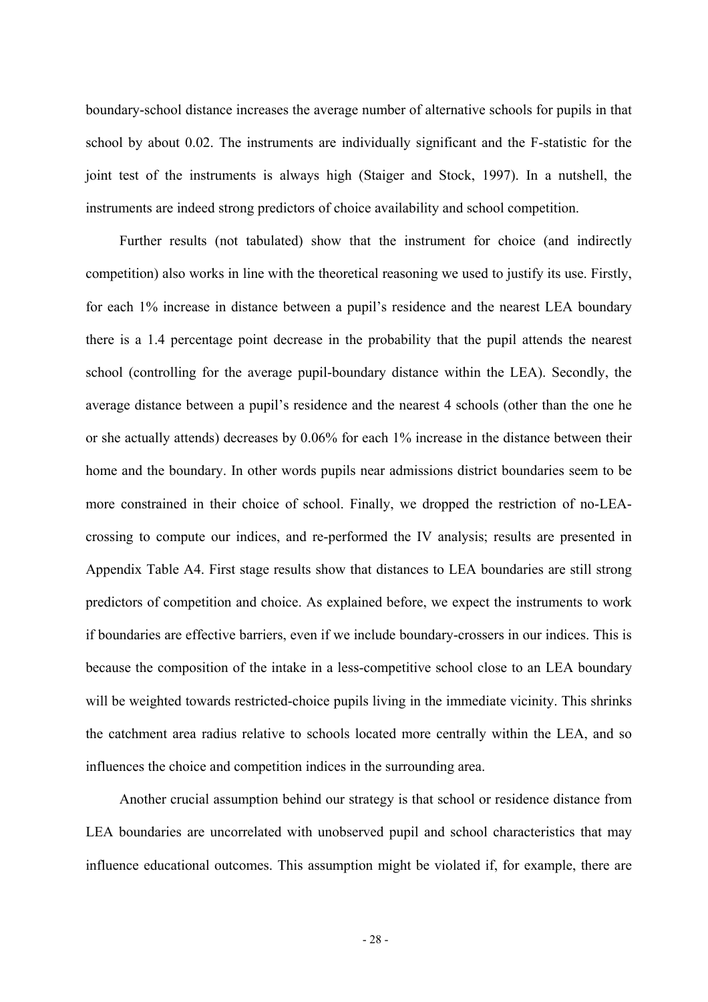boundary-school distance increases the average number of alternative schools for pupils in that school by about 0.02. The instruments are individually significant and the F-statistic for the joint test of the instruments is always high (Staiger and Stock, 1997). In a nutshell, the instruments are indeed strong predictors of choice availability and school competition.

Further results (not tabulated) show that the instrument for choice (and indirectly competition) also works in line with the theoretical reasoning we used to justify its use. Firstly, for each 1% increase in distance between a pupil's residence and the nearest LEA boundary there is a 1.4 percentage point decrease in the probability that the pupil attends the nearest school (controlling for the average pupil-boundary distance within the LEA). Secondly, the average distance between a pupil's residence and the nearest 4 schools (other than the one he or she actually attends) decreases by 0.06% for each 1% increase in the distance between their home and the boundary. In other words pupils near admissions district boundaries seem to be more constrained in their choice of school. Finally, we dropped the restriction of no-LEAcrossing to compute our indices, and re-performed the IV analysis; results are presented in Appendix Table A4. First stage results show that distances to LEA boundaries are still strong predictors of competition and choice. As explained before, we expect the instruments to work if boundaries are effective barriers, even if we include boundary-crossers in our indices. This is because the composition of the intake in a less-competitive school close to an LEA boundary will be weighted towards restricted-choice pupils living in the immediate vicinity. This shrinks the catchment area radius relative to schools located more centrally within the LEA, and so influences the choice and competition indices in the surrounding area.

Another crucial assumption behind our strategy is that school or residence distance from LEA boundaries are uncorrelated with unobserved pupil and school characteristics that may influence educational outcomes. This assumption might be violated if, for example, there are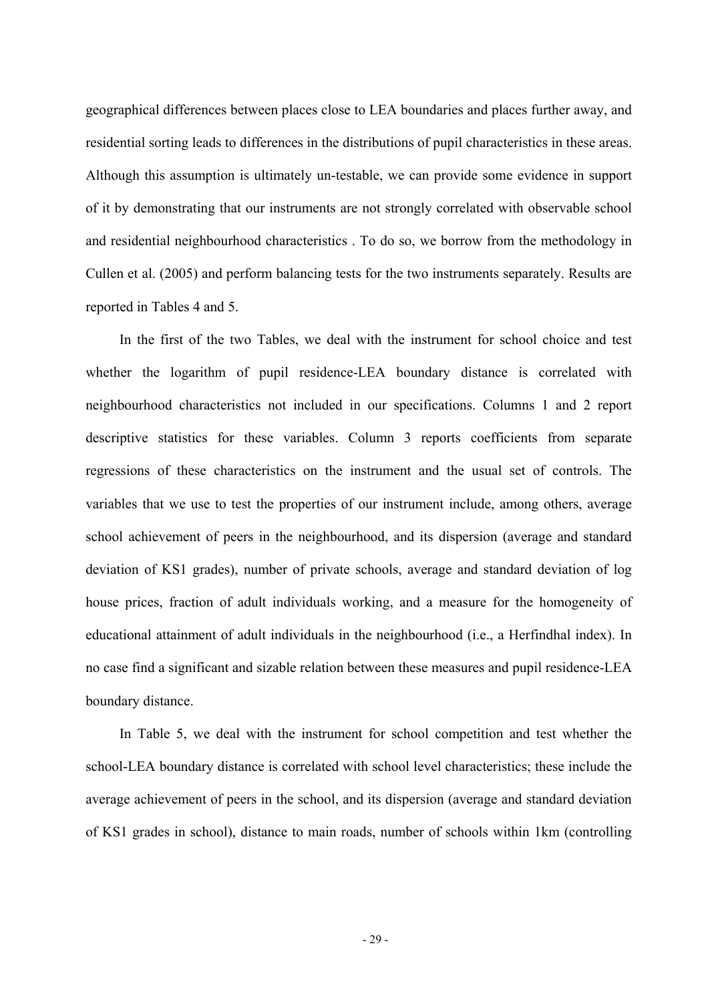geographical differences between places close to LEA boundaries and places further away, and residential sorting leads to differences in the distributions of pupil characteristics in these areas. Although this assumption is ultimately un-testable, we can provide some evidence in support of it by demonstrating that our instruments are not strongly correlated with observable school and residential neighbourhood characteristics . To do so, we borrow from the methodology in Cullen et al. (2005) and perform balancing tests for the two instruments separately. Results are reported in Tables 4 and 5.

In the first of the two Tables, we deal with the instrument for school choice and test whether the logarithm of pupil residence-LEA boundary distance is correlated with neighbourhood characteristics not included in our specifications. Columns 1 and 2 report descriptive statistics for these variables. Column 3 reports coefficients from separate regressions of these characteristics on the instrument and the usual set of controls. The variables that we use to test the properties of our instrument include, among others, average school achievement of peers in the neighbourhood, and its dispersion (average and standard deviation of KS1 grades), number of private schools, average and standard deviation of log house prices, fraction of adult individuals working, and a measure for the homogeneity of educational attainment of adult individuals in the neighbourhood (i.e., a Herfindhal index). In no case find a significant and sizable relation between these measures and pupil residence-LEA boundary distance.

In Table 5, we deal with the instrument for school competition and test whether the school-LEA boundary distance is correlated with school level characteristics; these include the average achievement of peers in the school, and its dispersion (average and standard deviation of KS1 grades in school), distance to main roads, number of schools within 1km (controlling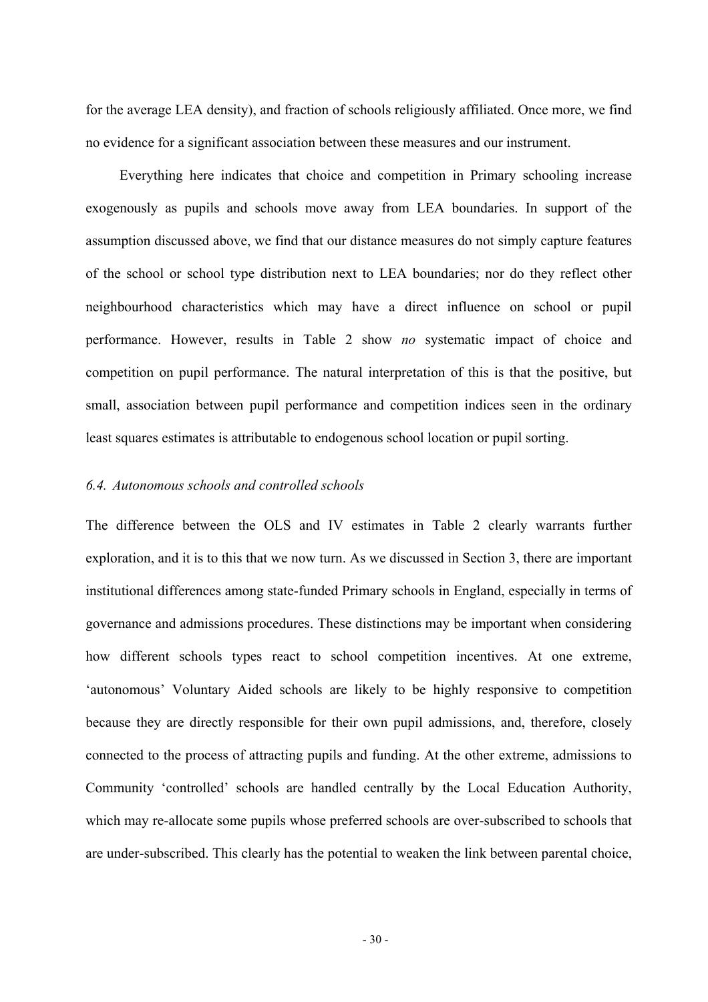for the average LEA density), and fraction of schools religiously affiliated. Once more, we find no evidence for a significant association between these measures and our instrument.

Everything here indicates that choice and competition in Primary schooling increase exogenously as pupils and schools move away from LEA boundaries. In support of the assumption discussed above, we find that our distance measures do not simply capture features of the school or school type distribution next to LEA boundaries; nor do they reflect other neighbourhood characteristics which may have a direct influence on school or pupil performance. However, results in Table 2 show *no* systematic impact of choice and competition on pupil performance. The natural interpretation of this is that the positive, but small, association between pupil performance and competition indices seen in the ordinary least squares estimates is attributable to endogenous school location or pupil sorting.

### *6.4. Autonomous schools and controlled schools*

The difference between the OLS and IV estimates in Table 2 clearly warrants further exploration, and it is to this that we now turn. As we discussed in Section 3, there are important institutional differences among state-funded Primary schools in England, especially in terms of governance and admissions procedures. These distinctions may be important when considering how different schools types react to school competition incentives. At one extreme, 'autonomous' Voluntary Aided schools are likely to be highly responsive to competition because they are directly responsible for their own pupil admissions, and, therefore, closely connected to the process of attracting pupils and funding. At the other extreme, admissions to Community 'controlled' schools are handled centrally by the Local Education Authority, which may re-allocate some pupils whose preferred schools are over-subscribed to schools that are under-subscribed. This clearly has the potential to weaken the link between parental choice,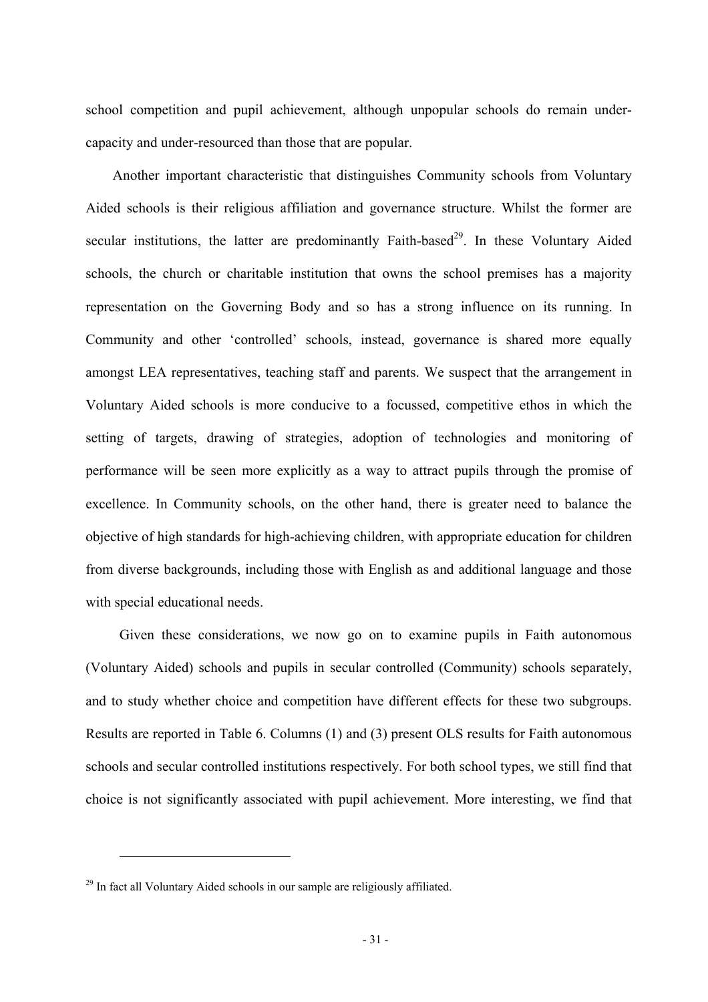school competition and pupil achievement, although unpopular schools do remain undercapacity and under-resourced than those that are popular.

Another important characteristic that distinguishes Community schools from Voluntary Aided schools is their religious affiliation and governance structure. Whilst the former are secular institutions, the latter are predominantly Faith-based<sup>29</sup>. In these Voluntary Aided schools, the church or charitable institution that owns the school premises has a majority representation on the Governing Body and so has a strong influence on its running. In Community and other 'controlled' schools, instead, governance is shared more equally amongst LEA representatives, teaching staff and parents. We suspect that the arrangement in Voluntary Aided schools is more conducive to a focussed, competitive ethos in which the setting of targets, drawing of strategies, adoption of technologies and monitoring of performance will be seen more explicitly as a way to attract pupils through the promise of excellence. In Community schools, on the other hand, there is greater need to balance the objective of high standards for high-achieving children, with appropriate education for children from diverse backgrounds, including those with English as and additional language and those with special educational needs.

Given these considerations, we now go on to examine pupils in Faith autonomous (Voluntary Aided) schools and pupils in secular controlled (Community) schools separately, and to study whether choice and competition have different effects for these two subgroups. Results are reported in Table 6. Columns (1) and (3) present OLS results for Faith autonomous schools and secular controlled institutions respectively. For both school types, we still find that choice is not significantly associated with pupil achievement. More interesting, we find that

 $^{29}$  In fact all Voluntary Aided schools in our sample are religiously affiliated.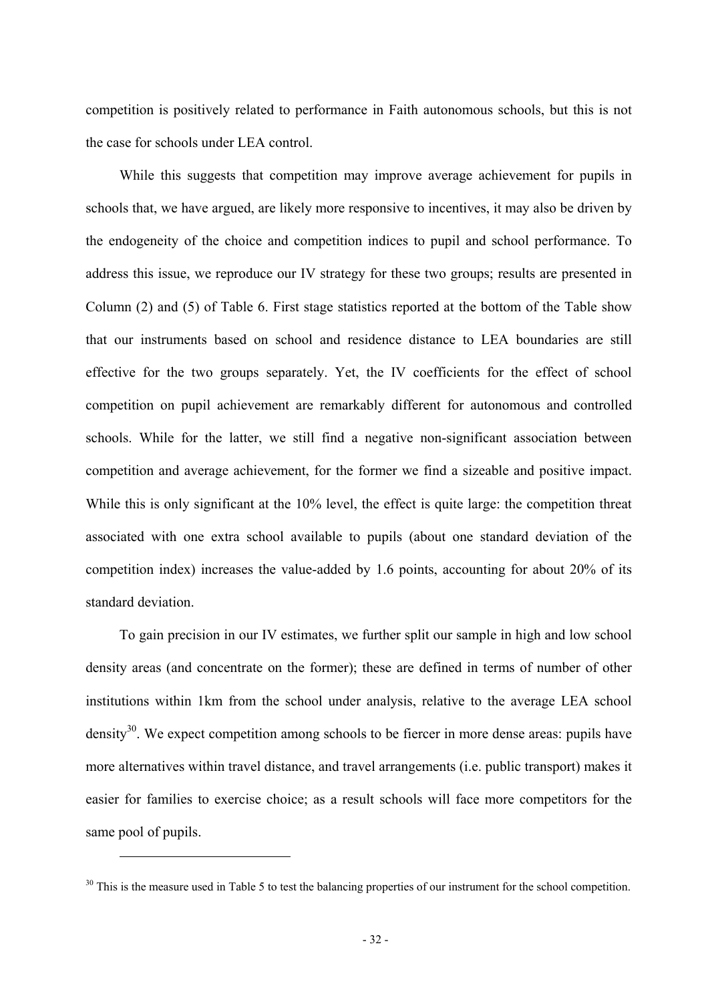competition is positively related to performance in Faith autonomous schools, but this is not the case for schools under LEA control.

While this suggests that competition may improve average achievement for pupils in schools that, we have argued, are likely more responsive to incentives, it may also be driven by the endogeneity of the choice and competition indices to pupil and school performance. To address this issue, we reproduce our IV strategy for these two groups; results are presented in Column (2) and (5) of Table 6. First stage statistics reported at the bottom of the Table show that our instruments based on school and residence distance to LEA boundaries are still effective for the two groups separately. Yet, the IV coefficients for the effect of school competition on pupil achievement are remarkably different for autonomous and controlled schools. While for the latter, we still find a negative non-significant association between competition and average achievement, for the former we find a sizeable and positive impact. While this is only significant at the 10% level, the effect is quite large: the competition threat associated with one extra school available to pupils (about one standard deviation of the competition index) increases the value-added by 1.6 points, accounting for about 20% of its standard deviation.

To gain precision in our IV estimates, we further split our sample in high and low school density areas (and concentrate on the former); these are defined in terms of number of other institutions within 1km from the school under analysis, relative to the average LEA school density<sup>30</sup>. We expect competition among schools to be fiercer in more dense areas: pupils have more alternatives within travel distance, and travel arrangements (i.e. public transport) makes it easier for families to exercise choice; as a result schools will face more competitors for the same pool of pupils.

<sup>&</sup>lt;sup>30</sup> This is the measure used in Table 5 to test the balancing properties of our instrument for the school competition.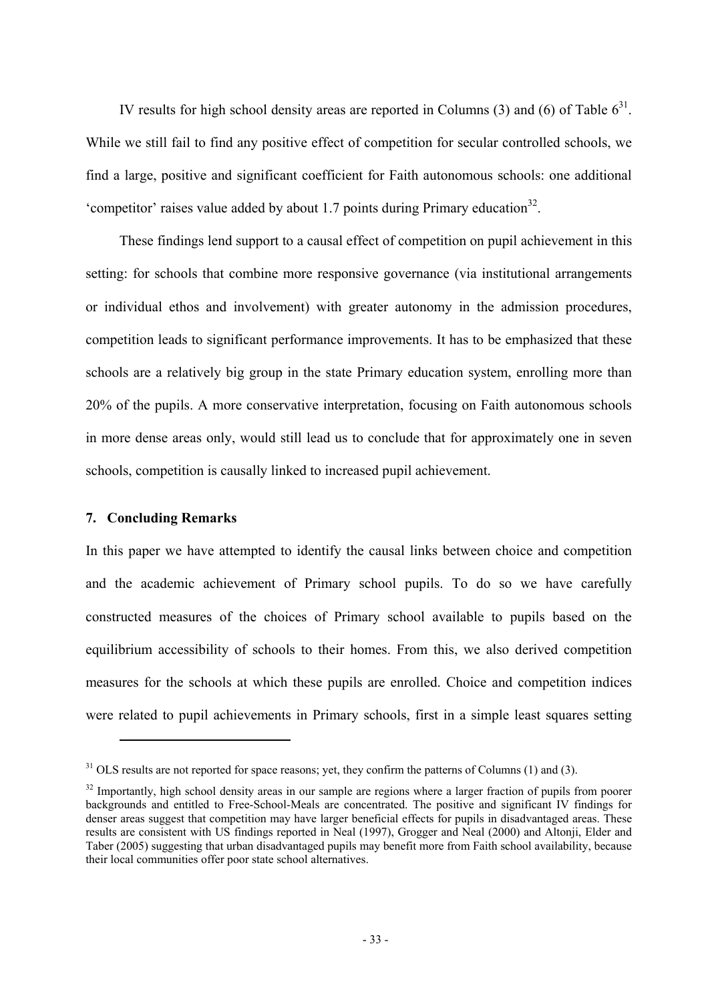IV results for high school density areas are reported in Columns (3) and (6) of Table  $6^{31}$ . While we still fail to find any positive effect of competition for secular controlled schools, we find a large, positive and significant coefficient for Faith autonomous schools: one additional 'competitor' raises value added by about 1.7 points during Primary education<sup>32</sup>.

These findings lend support to a causal effect of competition on pupil achievement in this setting: for schools that combine more responsive governance (via institutional arrangements or individual ethos and involvement) with greater autonomy in the admission procedures, competition leads to significant performance improvements. It has to be emphasized that these schools are a relatively big group in the state Primary education system, enrolling more than 20% of the pupils. A more conservative interpretation, focusing on Faith autonomous schools in more dense areas only, would still lead us to conclude that for approximately one in seven schools, competition is causally linked to increased pupil achievement.

## **7. Concluding Remarks**

 $\overline{a}$ 

In this paper we have attempted to identify the causal links between choice and competition and the academic achievement of Primary school pupils. To do so we have carefully constructed measures of the choices of Primary school available to pupils based on the equilibrium accessibility of schools to their homes. From this, we also derived competition measures for the schools at which these pupils are enrolled. Choice and competition indices were related to pupil achievements in Primary schools, first in a simple least squares setting

 $31$  OLS results are not reported for space reasons; yet, they confirm the patterns of Columns (1) and (3).

 $32$  Importantly, high school density areas in our sample are regions where a larger fraction of pupils from poorer backgrounds and entitled to Free-School-Meals are concentrated. The positive and significant IV findings for denser areas suggest that competition may have larger beneficial effects for pupils in disadvantaged areas. These results are consistent with US findings reported in Neal (1997), Grogger and Neal (2000) and Altonji, Elder and Taber (2005) suggesting that urban disadvantaged pupils may benefit more from Faith school availability, because their local communities offer poor state school alternatives.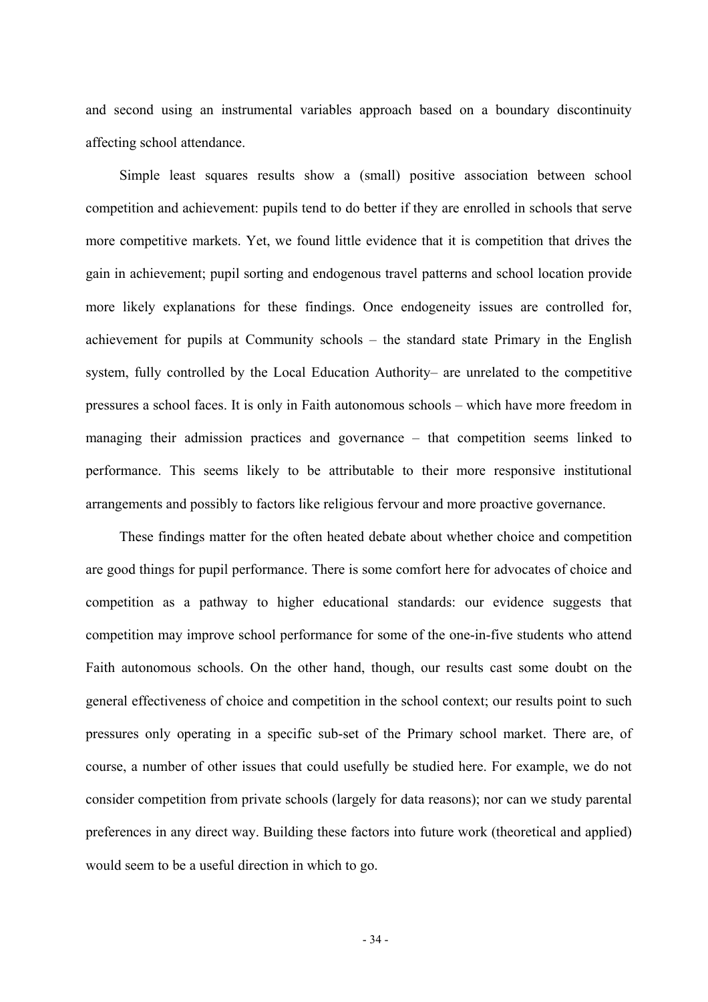and second using an instrumental variables approach based on a boundary discontinuity affecting school attendance.

Simple least squares results show a (small) positive association between school competition and achievement: pupils tend to do better if they are enrolled in schools that serve more competitive markets. Yet, we found little evidence that it is competition that drives the gain in achievement; pupil sorting and endogenous travel patterns and school location provide more likely explanations for these findings. Once endogeneity issues are controlled for, achievement for pupils at Community schools – the standard state Primary in the English system, fully controlled by the Local Education Authority– are unrelated to the competitive pressures a school faces. It is only in Faith autonomous schools – which have more freedom in managing their admission practices and governance – that competition seems linked to performance. This seems likely to be attributable to their more responsive institutional arrangements and possibly to factors like religious fervour and more proactive governance.

These findings matter for the often heated debate about whether choice and competition are good things for pupil performance. There is some comfort here for advocates of choice and competition as a pathway to higher educational standards: our evidence suggests that competition may improve school performance for some of the one-in-five students who attend Faith autonomous schools. On the other hand, though, our results cast some doubt on the general effectiveness of choice and competition in the school context; our results point to such pressures only operating in a specific sub-set of the Primary school market. There are, of course, a number of other issues that could usefully be studied here. For example, we do not consider competition from private schools (largely for data reasons); nor can we study parental preferences in any direct way. Building these factors into future work (theoretical and applied) would seem to be a useful direction in which to go.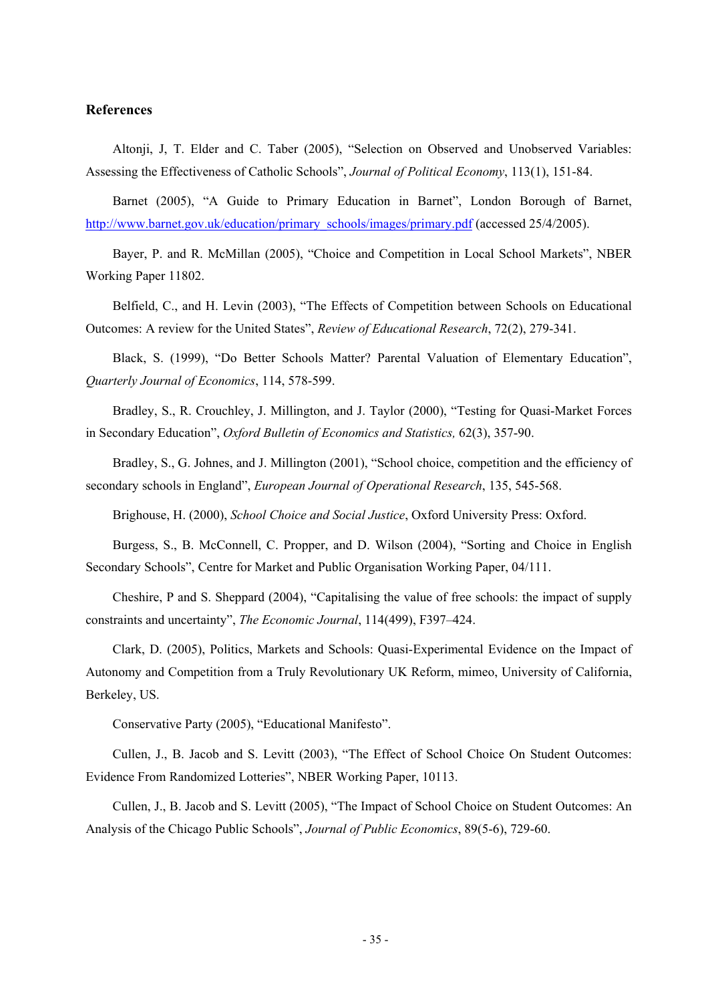### **References**

Altonji, J, T. Elder and C. Taber (2005), "Selection on Observed and Unobserved Variables: Assessing the Effectiveness of Catholic Schools", *Journal of Political Economy*, 113(1), 151-84.

Barnet (2005), "A Guide to Primary Education in Barnet", London Borough of Barnet, http://www.barnet.gov.uk/education/primary\_schools/images/primary.pdf (accessed 25/4/2005).

Bayer, P. and R. McMillan (2005), "Choice and Competition in Local School Markets", NBER Working Paper 11802.

Belfield, C., and H. Levin (2003), "The Effects of Competition between Schools on Educational Outcomes: A review for the United States", *Review of Educational Research*, 72(2), 279-341.

Black, S. (1999), "Do Better Schools Matter? Parental Valuation of Elementary Education", *Quarterly Journal of Economics*, 114, 578-599.

Bradley, S., R. Crouchley, J. Millington, and J. Taylor (2000), "Testing for Quasi-Market Forces in Secondary Education", *Oxford Bulletin of Economics and Statistics,* 62(3), 357-90.

Bradley, S., G. Johnes, and J. Millington (2001), "School choice, competition and the efficiency of secondary schools in England", *European Journal of Operational Research*, 135, 545-568.

Brighouse, H. (2000), *School Choice and Social Justice*, Oxford University Press: Oxford.

Burgess, S., B. McConnell, C. Propper, and D. Wilson (2004), "Sorting and Choice in English Secondary Schools", Centre for Market and Public Organisation Working Paper, 04/111.

Cheshire, P and S. Sheppard (2004), "Capitalising the value of free schools: the impact of supply constraints and uncertainty", *The Economic Journal*, 114(499), F397–424.

Clark, D. (2005), Politics, Markets and Schools: Quasi-Experimental Evidence on the Impact of Autonomy and Competition from a Truly Revolutionary UK Reform, mimeo, University of California, Berkeley, US.

Conservative Party (2005), "Educational Manifesto".

Cullen, J., B. Jacob and S. Levitt (2003), "The Effect of School Choice On Student Outcomes: Evidence From Randomized Lotteries", NBER Working Paper, 10113.

Cullen, J., B. Jacob and S. Levitt (2005), "The Impact of School Choice on Student Outcomes: An Analysis of the Chicago Public Schools", *Journal of Public Economics*, 89(5-6), 729-60.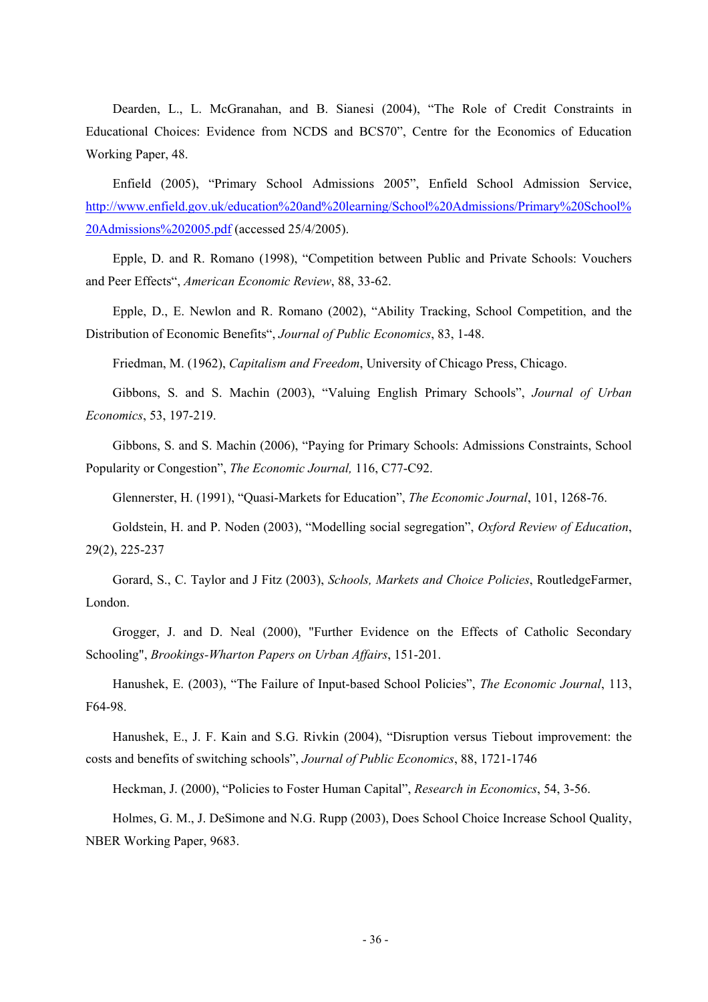Dearden, L., L. McGranahan, and B. Sianesi (2004), "The Role of Credit Constraints in Educational Choices: Evidence from NCDS and BCS70", Centre for the Economics of Education Working Paper, 48.

Enfield (2005), "Primary School Admissions 2005", Enfield School Admission Service, http://www.enfield.gov.uk/education%20and%20learning/School%20Admissions/Primary%20School% 20Admissions%202005.pdf (accessed 25/4/2005).

Epple, D. and R. Romano (1998), "Competition between Public and Private Schools: Vouchers and Peer Effects", *American Economic Review*, 88, 33-62.

Epple, D., E. Newlon and R. Romano (2002), "Ability Tracking, School Competition, and the Distribution of Economic Benefits", *Journal of Public Economics*, 83, 1-48.

Friedman, M. (1962), *Capitalism and Freedom*, University of Chicago Press, Chicago.

Gibbons, S. and S. Machin (2003), "Valuing English Primary Schools", *Journal of Urban Economics*, 53, 197-219.

Gibbons, S. and S. Machin (2006), "Paying for Primary Schools: Admissions Constraints, School Popularity or Congestion", *The Economic Journal,* 116, C77-C92.

Glennerster, H. (1991), "Quasi-Markets for Education", *The Economic Journal*, 101, 1268-76.

Goldstein, H. and P. Noden (2003), "Modelling social segregation", *Oxford Review of Education*, 29(2), 225-237

Gorard, S., C. Taylor and J Fitz (2003), *Schools, Markets and Choice Policies*, RoutledgeFarmer, London.

Grogger, J. and D. Neal (2000), "Further Evidence on the Effects of Catholic Secondary Schooling", *Brookings-Wharton Papers on Urban Affairs*, 151-201.

Hanushek, E. (2003), "The Failure of Input-based School Policies", *The Economic Journal*, 113, F64-98.

Hanushek, E., J. F. Kain and S.G. Rivkin (2004), "Disruption versus Tiebout improvement: the costs and benefits of switching schools", *Journal of Public Economics*, 88, 1721-1746

Heckman, J. (2000), "Policies to Foster Human Capital", *Research in Economics*, 54, 3-56.

Holmes, G. M., J. DeSimone and N.G. Rupp (2003), Does School Choice Increase School Quality, NBER Working Paper, 9683.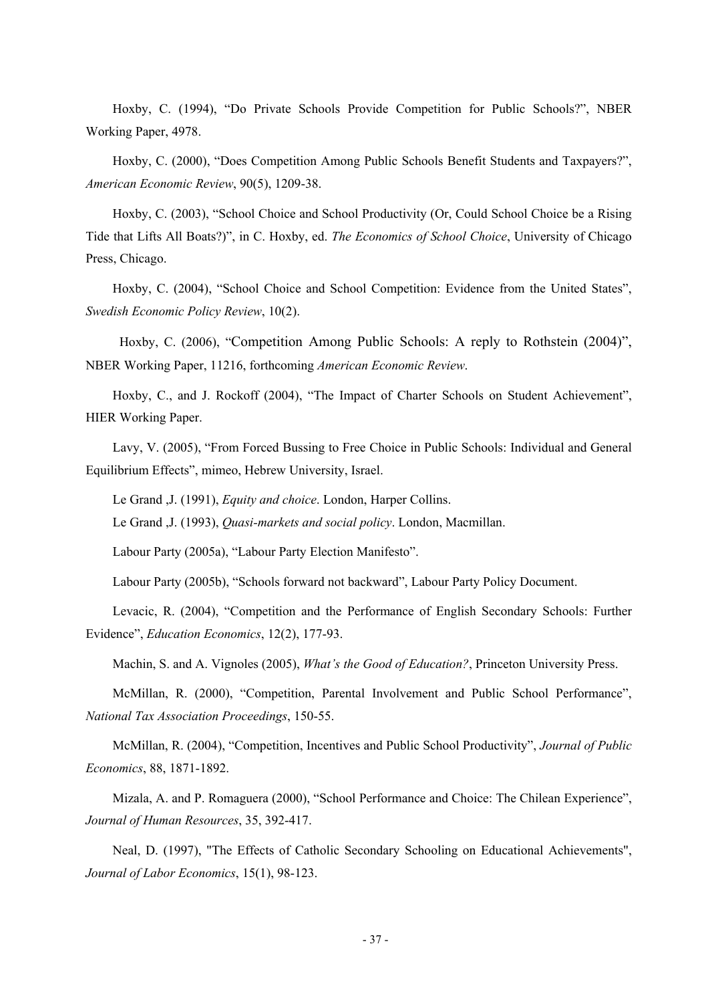Hoxby, C. (1994), "Do Private Schools Provide Competition for Public Schools?", NBER Working Paper, 4978.

Hoxby, C. (2000), "Does Competition Among Public Schools Benefit Students and Taxpayers?", *American Economic Review*, 90(5), 1209-38.

Hoxby, C. (2003), "School Choice and School Productivity (Or, Could School Choice be a Rising Tide that Lifts All Boats?)", in C. Hoxby, ed. *The Economics of School Choice*, University of Chicago Press, Chicago.

Hoxby, C. (2004), "School Choice and School Competition: Evidence from the United States", *Swedish Economic Policy Review*, 10(2).

Hoxby, C. (2006), "Competition Among Public Schools: A reply to Rothstein (2004)", NBER Working Paper, 11216, forthcoming *American Economic Review*.

Hoxby, C., and J. Rockoff (2004), "The Impact of Charter Schools on Student Achievement", HIER Working Paper.

Lavy, V. (2005), "From Forced Bussing to Free Choice in Public Schools: Individual and General Equilibrium Effects", mimeo, Hebrew University, Israel.

Le Grand ,J. (1991), *Equity and choice*. London, Harper Collins.

Le Grand ,J. (1993), *Quasi-markets and social policy*. London, Macmillan.

Labour Party (2005a), "Labour Party Election Manifesto".

Labour Party (2005b), "Schools forward not backward", Labour Party Policy Document.

Levacic, R. (2004), "Competition and the Performance of English Secondary Schools: Further Evidence", *Education Economics*, 12(2), 177-93.

Machin, S. and A. Vignoles (2005), *What's the Good of Education?*, Princeton University Press.

McMillan, R. (2000), "Competition, Parental Involvement and Public School Performance", *National Tax Association Proceedings*, 150-55.

McMillan, R. (2004), "Competition, Incentives and Public School Productivity", *Journal of Public Economics*, 88, 1871-1892.

Mizala, A. and P. Romaguera (2000), "School Performance and Choice: The Chilean Experience", *Journal of Human Resources*, 35, 392-417.

Neal, D. (1997), "The Effects of Catholic Secondary Schooling on Educational Achievements", *Journal of Labor Economics*, 15(1), 98-123.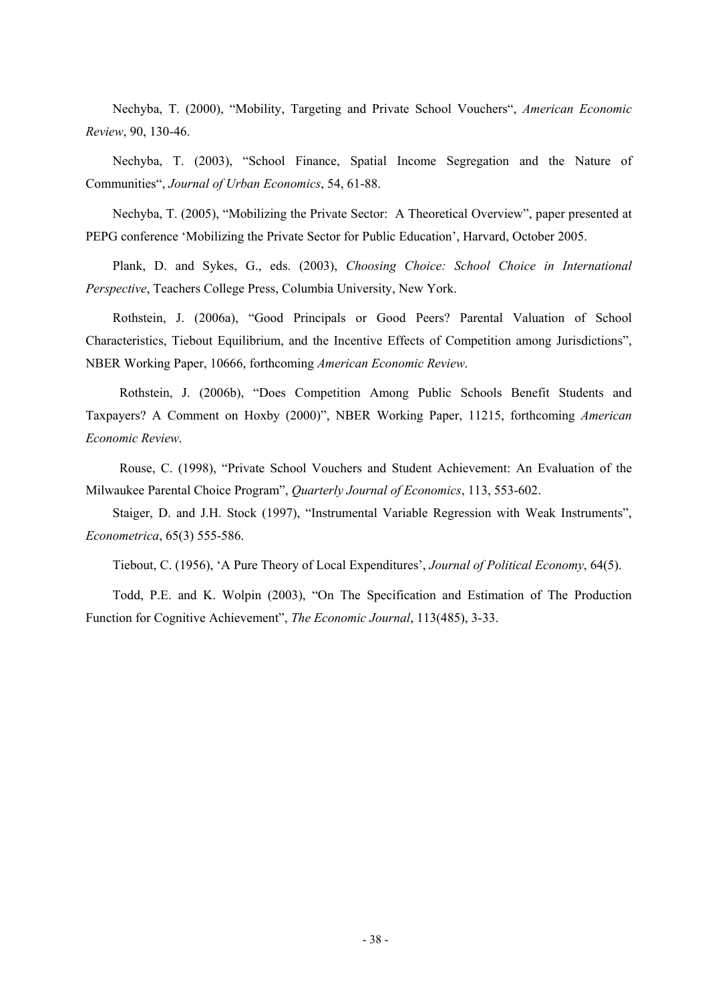Nechyba, T. (2000), "Mobility, Targeting and Private School Vouchers", *American Economic Review*, 90, 130-46.

Nechyba, T. (2003), "School Finance, Spatial Income Segregation and the Nature of Communities", *Journal of Urban Economics*, 54, 61-88.

Nechyba, T. (2005), "Mobilizing the Private Sector: A Theoretical Overview", paper presented at PEPG conference 'Mobilizing the Private Sector for Public Education', Harvard, October 2005.

Plank, D. and Sykes, G., eds. (2003), *Choosing Choice: School Choice in International Perspective*, Teachers College Press, Columbia University, New York.

Rothstein, J. (2006a), "Good Principals or Good Peers? Parental Valuation of School Characteristics, Tiebout Equilibrium, and the Incentive Effects of Competition among Jurisdictions", NBER Working Paper, 10666, forthcoming *American Economic Review*.

Rothstein, J. (2006b), "Does Competition Among Public Schools Benefit Students and Taxpayers? A Comment on Hoxby (2000)", NBER Working Paper, 11215, forthcoming *American Economic Review*.

Rouse, C. (1998), "Private School Vouchers and Student Achievement: An Evaluation of the Milwaukee Parental Choice Program", *Quarterly Journal of Economics*, 113, 553-602.

Staiger, D. and J.H. Stock (1997), "Instrumental Variable Regression with Weak Instruments", *Econometrica*, 65(3) 555-586.

Tiebout, C. (1956), 'A Pure Theory of Local Expenditures', *Journal of Political Economy*, 64(5).

Todd, P.E. and K. Wolpin (2003), "On The Specification and Estimation of The Production Function for Cognitive Achievement", *The Economic Journal*, 113(485), 3-33.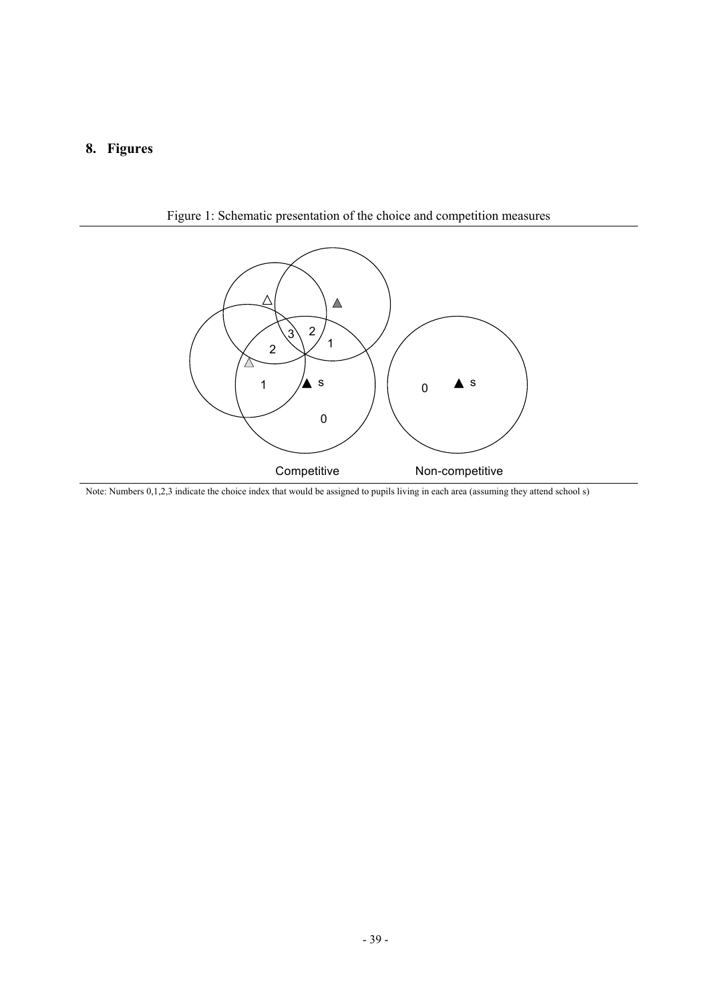## **8. Figures**



Figure 1: Schematic presentation of the choice and competition measures

Note: Numbers 0,1,2,3 indicate the choice index that would be assigned to pupils living in each area (assuming they attend school s)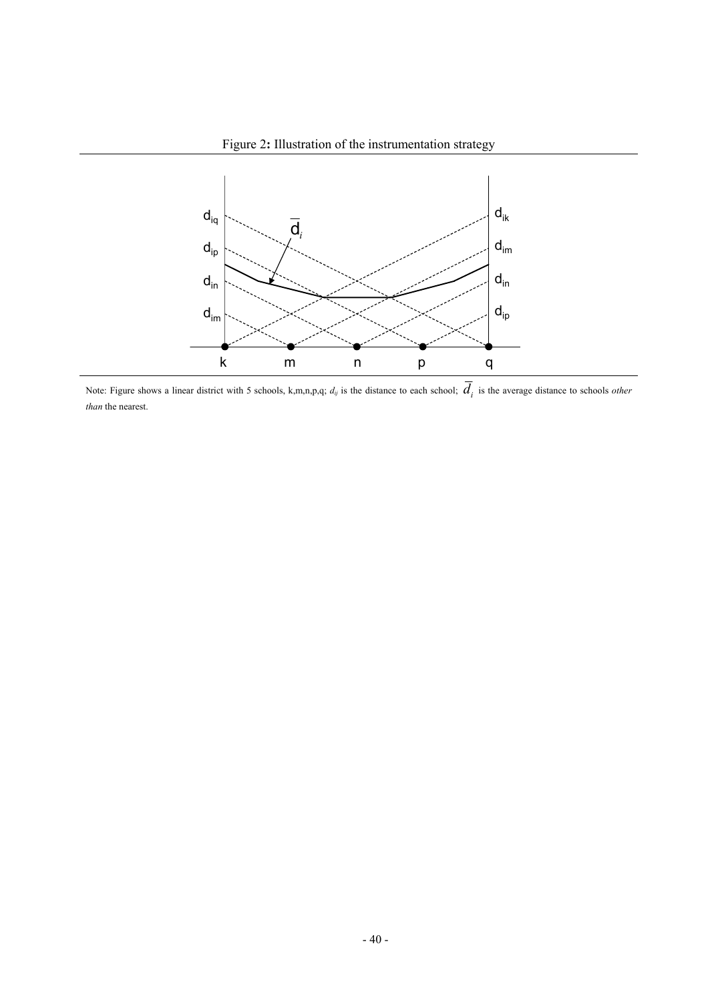



Note: Figure shows a linear district with 5 schools, k,m,n,p,q;  $d_{ij}$  is the distance to each school;  $\overline{d}_i$  is the average distance to schools *other than* the nearest.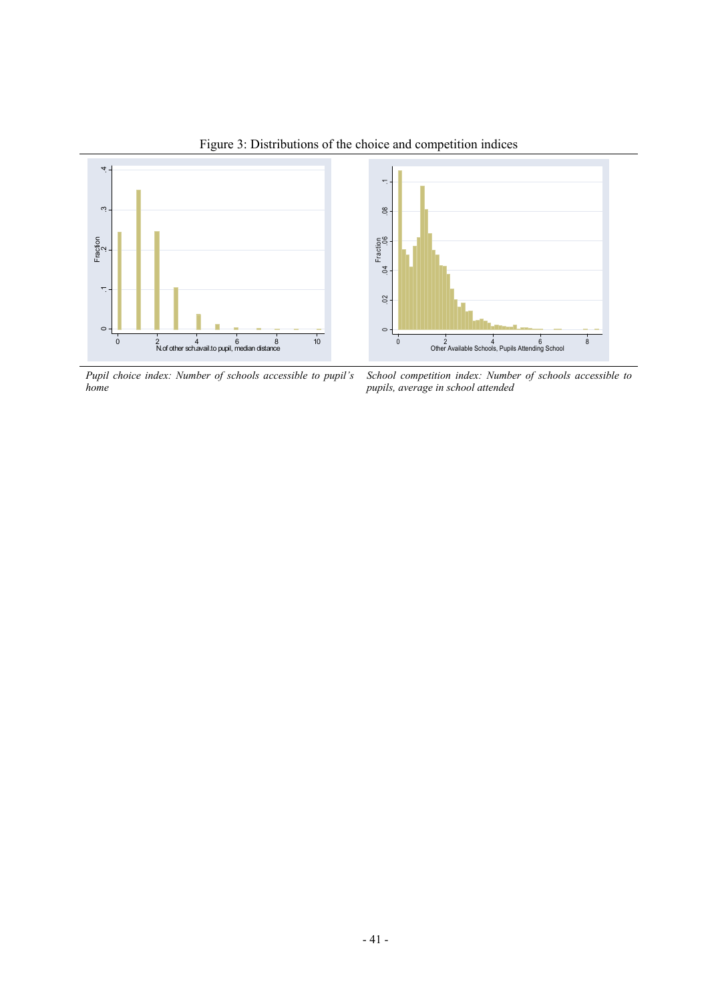

Figure 3: Distributions of the choice and competition indices

*Pupil choice index: Number of schools accessible to pupil's home* 

*School competition index: Number of schools accessible to pupils, average in school attended*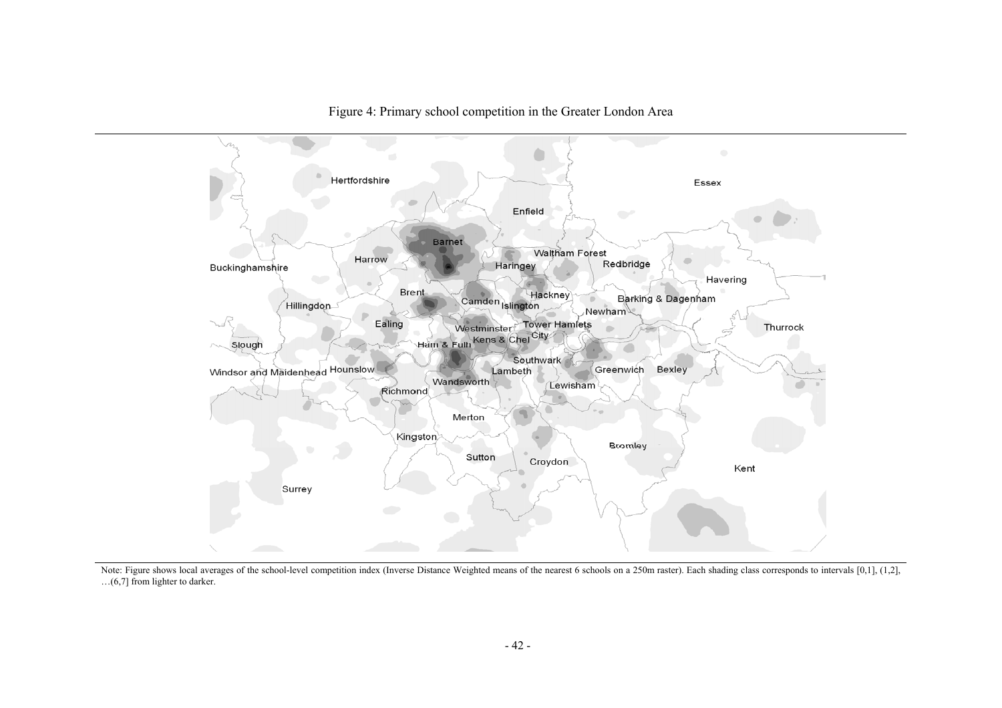

Figure 4: Primary school competition in the Greater London Area

Note: Figure shows local averages of the school-level competition index (Inverse Distance Weighted means of the nearest 6 schools on a 250m raster). Each shading class corresponds to intervals [0,1], (1,2], …(6,7] from lighter to darker.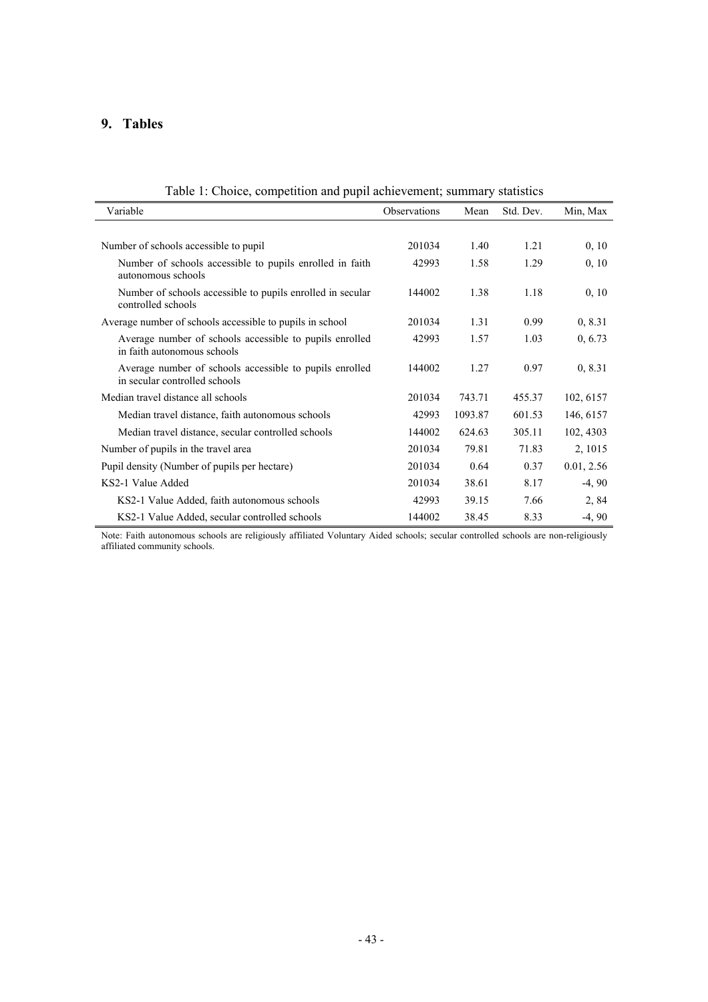## **9. Tables**

| raoiv 1. Choice, competition and pupil achievement, summary statistics                   |              |         |           |            |  |  |
|------------------------------------------------------------------------------------------|--------------|---------|-----------|------------|--|--|
| Variable                                                                                 | Observations | Mean    | Std. Dev. | Min, Max   |  |  |
|                                                                                          |              |         |           |            |  |  |
| Number of schools accessible to pupil                                                    | 201034       | 1.40    | 1.21      | 0, 10      |  |  |
| Number of schools accessible to pupils enrolled in faith<br>autonomous schools           | 42993        | 1.58    | 1.29      | 0, 10      |  |  |
| Number of schools accessible to pupils enrolled in secular<br>controlled schools         | 144002       | 1.38    | 1.18      | 0, 10      |  |  |
| Average number of schools accessible to pupils in school                                 | 201034       | 1.31    | 0.99      | 0, 8.31    |  |  |
| Average number of schools accessible to pupils enrolled<br>in faith autonomous schools   | 42993        | 1.57    | 1.03      | 0, 6.73    |  |  |
| Average number of schools accessible to pupils enrolled<br>in secular controlled schools | 144002       | 1.27    | 0.97      | 0, 8.31    |  |  |
| Median travel distance all schools                                                       | 201034       | 743.71  | 455.37    | 102, 6157  |  |  |
| Median travel distance, faith autonomous schools                                         | 42993        | 1093.87 | 601.53    | 146, 6157  |  |  |
| Median travel distance, secular controlled schools                                       | 144002       | 624.63  | 305.11    | 102, 4303  |  |  |
| Number of pupils in the travel area                                                      | 201034       | 79.81   | 71.83     | 2, 1015    |  |  |
| Pupil density (Number of pupils per hectare)                                             | 201034       | 0.64    | 0.37      | 0.01, 2.56 |  |  |
| KS2-1 Value Added                                                                        | 201034       | 38.61   | 8.17      | $-4, 90$   |  |  |
| KS2-1 Value Added, faith autonomous schools                                              | 42993        | 39.15   | 7.66      | 2,84       |  |  |
| KS2-1 Value Added, secular controlled schools                                            | 144002       | 38.45   | 8.33      | $-4, 90$   |  |  |

Table 1: Choice, competition and pupil achievement; summary statistics

Note: Faith autonomous schools are religiously affiliated Voluntary Aided schools; secular controlled schools are non-religiously affiliated community schools.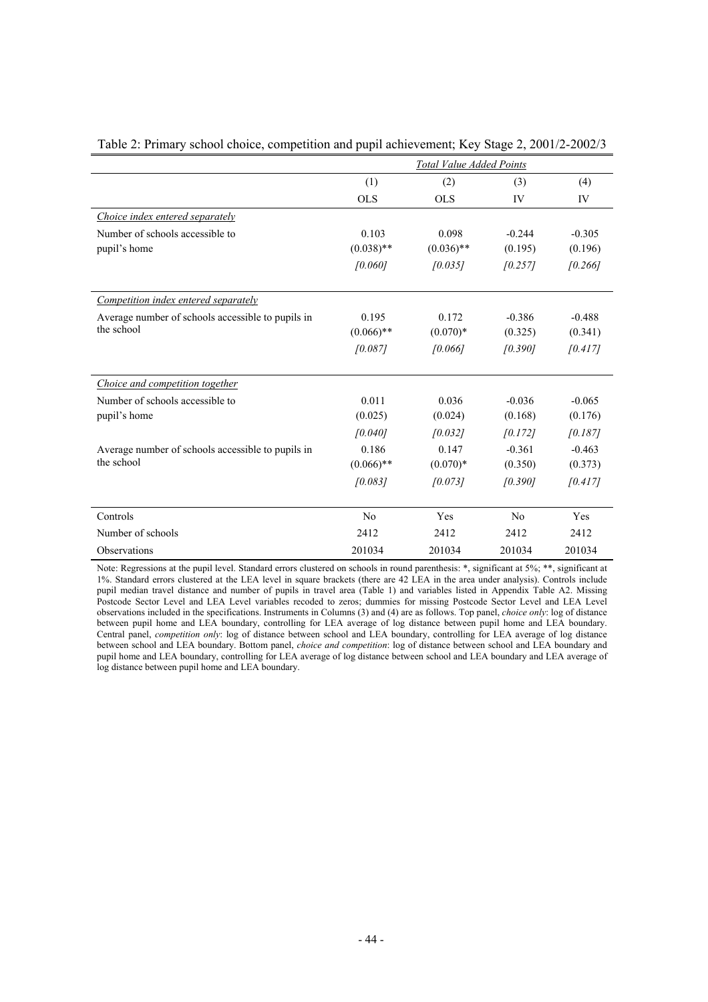|                                                   | <b>Total Value Added Points</b> |              |          |          |  |  |
|---------------------------------------------------|---------------------------------|--------------|----------|----------|--|--|
|                                                   | (1)                             | (2)          | (3)      | (4)      |  |  |
|                                                   | <b>OLS</b>                      | <b>OLS</b>   | IV       | IV       |  |  |
| Choice index entered separately                   |                                 |              |          |          |  |  |
| Number of schools accessible to                   | 0.103                           | 0.098        | $-0.244$ | $-0.305$ |  |  |
| pupil's home                                      | $(0.038)$ **                    | $(0.036)$ ** | (0.195)  | (0.196)  |  |  |
|                                                   | [0.060]                         | [0.035]      | [0.257]  | [0.266]  |  |  |
|                                                   |                                 |              |          |          |  |  |
| Competition index entered separately              |                                 |              |          |          |  |  |
| Average number of schools accessible to pupils in | 0.195                           | 0.172        | $-0.386$ | $-0.488$ |  |  |
| the school                                        | $(0.066)$ **                    | $(0.070)*$   | (0.325)  | (0.341)  |  |  |
|                                                   | [0.087]                         | [0.066]      | [0.390]  | [0.417]  |  |  |
|                                                   |                                 |              |          |          |  |  |
| Choice and competition together                   |                                 |              |          |          |  |  |
| Number of schools accessible to                   | 0.011                           | 0.036        | $-0.036$ | $-0.065$ |  |  |
| pupil's home                                      | (0.025)                         | (0.024)      | (0.168)  | (0.176)  |  |  |
|                                                   | [0.040]                         | [0.032]      | [0.172]  | [0.187]  |  |  |
| Average number of schools accessible to pupils in | 0.186                           | 0.147        | $-0.361$ | $-0.463$ |  |  |
| the school                                        | $(0.066)$ **                    | $(0.070)*$   | (0.350)  | (0.373)  |  |  |
|                                                   | [0.083]                         | [0.073]      | [0.390]  | [0.417]  |  |  |
|                                                   |                                 |              |          |          |  |  |
| Controls                                          | No                              | Yes          | No       | Yes      |  |  |
| Number of schools                                 | 2412                            | 2412         | 2412     | 2412     |  |  |
| Observations                                      | 201034                          | 201034       | 201034   | 201034   |  |  |

Table 2: Primary school choice, competition and pupil achievement; Key Stage 2, 2001/2-2002/3

Note: Regressions at the pupil level. Standard errors clustered on schools in round parenthesis: \*, significant at 5%; \*\*, significant at 1%. Standard errors clustered at the LEA level in square brackets (there are 42 LEA in the area under analysis). Controls include pupil median travel distance and number of pupils in travel area (Table 1) and variables listed in Appendix Table A2. Missing Postcode Sector Level and LEA Level variables recoded to zeros; dummies for missing Postcode Sector Level and LEA Level observations included in the specifications. Instruments in Columns (3) and (4) are as follows. Top panel, *choice only*: log of distance between pupil home and LEA boundary, controlling for LEA average of log distance between pupil home and LEA boundary. Central panel, *competition only*: log of distance between school and LEA boundary, controlling for LEA average of log distance between school and LEA boundary. Bottom panel, *choice and competition*: log of distance between school and LEA boundary and pupil home and LEA boundary, controlling for LEA average of log distance between school and LEA boundary and LEA average of log distance between pupil home and LEA boundary.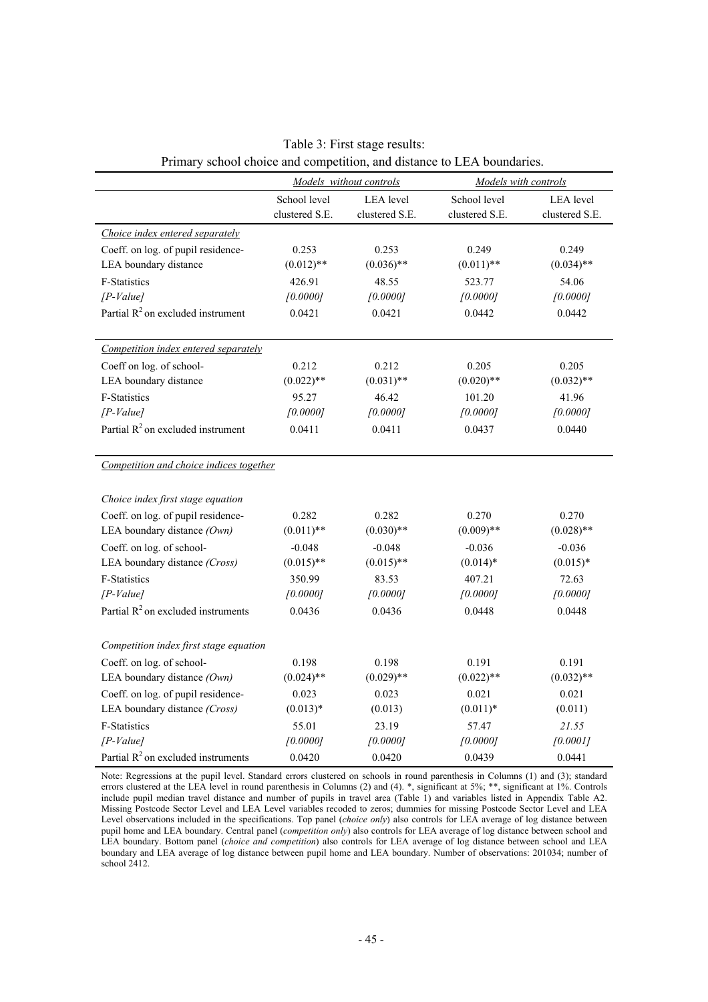| I HINALY SCHOOL CHOICE and COMPUTITON, and distance to LLA boundaries. |                |                         |                      |                  |  |  |
|------------------------------------------------------------------------|----------------|-------------------------|----------------------|------------------|--|--|
|                                                                        |                | Models without controls | Models with controls |                  |  |  |
|                                                                        | School level   | <b>LEA</b> level        | School level         | <b>LEA</b> level |  |  |
|                                                                        | clustered S.E. | clustered S.E.          | clustered S.E.       | clustered S.E.   |  |  |
| Choice index entered separately                                        |                |                         |                      |                  |  |  |
| Coeff. on log. of pupil residence-                                     | 0.253          | 0.253                   | 0.249                | 0.249            |  |  |
| LEA boundary distance                                                  | $(0.012)$ **   | $(0.036)$ **            | $(0.011)$ **         | $(0.034)$ **     |  |  |
| F-Statistics                                                           | 426.91         | 48.55                   | 523.77               | 54.06            |  |  |
| $[P-Value]$                                                            | [0.0000]       | [0.0000]                | [0.0000]             | [0.0000]         |  |  |
| Partial $R^2$ on excluded instrument                                   | 0.0421         | 0.0421                  | 0.0442               | 0.0442           |  |  |
| Competition index entered separately                                   |                |                         |                      |                  |  |  |
| Coeff on log. of school-                                               | 0.212          | 0.212                   | 0.205                | 0.205            |  |  |
| LEA boundary distance                                                  | $(0.022)$ **   | $(0.031)$ **            | $(0.020)$ **         | $(0.032)$ **     |  |  |
| F-Statistics                                                           | 95.27          | 46.42                   | 101.20               | 41.96            |  |  |
| $[P-Value]$                                                            | [0.0000]       | [0.0000]                | [0.0000]             | [0.0000]         |  |  |
| Partial $R^2$ on excluded instrument                                   | 0.0411         | 0.0411                  | 0.0437               | 0.0440           |  |  |
|                                                                        |                |                         |                      |                  |  |  |
| Competition and choice indices together                                |                |                         |                      |                  |  |  |
|                                                                        |                |                         |                      |                  |  |  |
| Choice index first stage equation                                      |                |                         |                      |                  |  |  |
| Coeff. on log. of pupil residence-                                     | 0.282          | 0.282                   | 0.270                | 0.270            |  |  |
| LEA boundary distance (Own)                                            | $(0.011)$ **   | $(0.030)$ **            | $(0.009)$ **         | $(0.028)$ **     |  |  |
| Coeff. on log. of school-                                              | $-0.048$       | $-0.048$                | $-0.036$             | $-0.036$         |  |  |
| LEA boundary distance (Cross)                                          | $(0.015)$ **   | $(0.015)$ **            | $(0.014)*$           | $(0.015)*$       |  |  |
| <b>F-Statistics</b>                                                    | 350.99         | 83.53                   | 407.21               | 72.63            |  |  |
| $[P-Value]$                                                            | [0.0000]       | [0.0000]                | [0.0000]             | [0.0000]         |  |  |
| Partial $R^2$ on excluded instruments                                  | 0.0436         | 0.0436                  | 0.0448               | 0.0448           |  |  |
| Competition index first stage equation                                 |                |                         |                      |                  |  |  |
| Coeff. on log. of school-                                              | 0.198          | 0.198                   | 0.191                | 0.191            |  |  |
| LEA boundary distance (Own)                                            | $(0.024)$ **   | $(0.029)$ **            | $(0.022)$ **         | $(0.032)$ **     |  |  |
| Coeff. on log. of pupil residence-                                     | 0.023          | 0.023                   | 0.021                | 0.021            |  |  |
| LEA boundary distance (Cross)                                          | $(0.013)*$     | (0.013)                 | $(0.011)*$           | (0.011)          |  |  |
| <b>F-Statistics</b>                                                    | 55.01          | 23.19                   | 57.47                | 21.55            |  |  |
| $[P-Value]$                                                            | [0.0000]       | [0.0000]                | [0.0000]             | [0.0001]         |  |  |
| Partial $R^2$ on excluded instruments                                  | 0.0420         | 0.0420                  | 0.0439               | 0.0441           |  |  |

| Table 3: First stage results:                                          |  |  |  |  |  |  |
|------------------------------------------------------------------------|--|--|--|--|--|--|
| Primary school choice and competition, and distance to LEA boundaries. |  |  |  |  |  |  |

Note: Regressions at the pupil level. Standard errors clustered on schools in round parenthesis in Columns (1) and (3); standard errors clustered at the LEA level in round parenthesis in Columns (2) and (4). \*, significant at 5%; \*\*, significant at 1%. Controls include pupil median travel distance and number of pupils in travel area (Table 1) and variables listed in Appendix Table A2. Missing Postcode Sector Level and LEA Level variables recoded to zeros; dummies for missing Postcode Sector Level and LEA Level observations included in the specifications. Top panel (*choice only*) also controls for LEA average of log distance between pupil home and LEA boundary. Central panel (*competition only*) also controls for LEA average of log distance between school and LEA boundary. Bottom panel (*choice and competition*) also controls for LEA average of log distance between school and LEA boundary and LEA average of log distance between pupil home and LEA boundary. Number of observations: 201034; number of school 2412.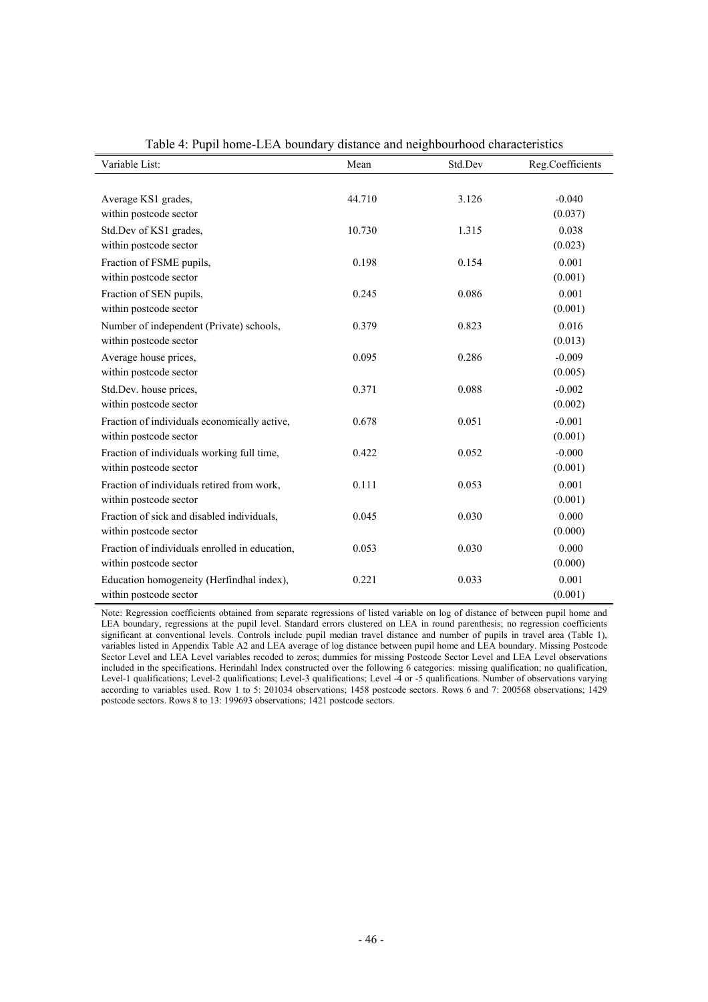| Variable List:                                 | Mean   | Std.Dev | Reg.Coefficients |
|------------------------------------------------|--------|---------|------------------|
|                                                |        |         |                  |
| Average KS1 grades,                            | 44.710 | 3.126   | $-0.040$         |
| within postcode sector                         |        |         | (0.037)          |
| Std.Dev of KS1 grades,                         | 10.730 | 1.315   | 0.038            |
| within postcode sector                         |        |         | (0.023)          |
| Fraction of FSME pupils,                       | 0.198  | 0.154   | 0.001            |
| within postcode sector                         |        |         | (0.001)          |
| Fraction of SEN pupils,                        | 0.245  | 0.086   | 0.001            |
| within postcode sector                         |        |         | (0.001)          |
| Number of independent (Private) schools,       | 0.379  | 0.823   | 0.016            |
| within postcode sector                         |        |         | (0.013)          |
| Average house prices,                          | 0.095  | 0.286   | $-0.009$         |
| within postcode sector                         |        |         | (0.005)          |
| Std.Dev. house prices,                         | 0.371  | 0.088   | $-0.002$         |
| within postcode sector                         |        |         | (0.002)          |
| Fraction of individuals economically active,   | 0.678  | 0.051   | $-0.001$         |
| within postcode sector                         |        |         | (0.001)          |
| Fraction of individuals working full time,     | 0.422  | 0.052   | $-0.000$         |
| within postcode sector                         |        |         | (0.001)          |
| Fraction of individuals retired from work,     | 0.111  | 0.053   | 0.001            |
| within postcode sector                         |        |         | (0.001)          |
| Fraction of sick and disabled individuals,     | 0.045  | 0.030   | 0.000            |
| within postcode sector                         |        |         | (0.000)          |
| Fraction of individuals enrolled in education, | 0.053  | 0.030   | 0.000            |
| within postcode sector                         |        |         | (0.000)          |
| Education homogeneity (Herfindhal index),      | 0.221  | 0.033   | 0.001            |
| within postcode sector                         |        |         | (0.001)          |

| Table 4: Pupil home-LEA boundary distance and neighbourhood characteristics |  |  |
|-----------------------------------------------------------------------------|--|--|
|                                                                             |  |  |

Note: Regression coefficients obtained from separate regressions of listed variable on log of distance of between pupil home and LEA boundary, regressions at the pupil level. Standard errors clustered on LEA in round parenthesis; no regression coefficients significant at conventional levels. Controls include pupil median travel distance and number of pupils in travel area (Table 1), variables listed in Appendix Table A2 and LEA average of log distance between pupil home and LEA boundary. Missing Postcode Sector Level and LEA Level variables recoded to zeros; dummies for missing Postcode Sector Level and LEA Level observations included in the specifications. Herindahl Index constructed over the following 6 categories: missing qualification; no qualification, Level-1 qualifications; Level-2 qualifications; Level-3 qualifications; Level -4 or -5 qualifications. Number of observations varying according to variables used. Row 1 to 5: 201034 observations; 1458 postcode sectors. Rows 6 and 7: 200568 observations; 1429 postcode sectors. Rows 8 to 13: 199693 observations; 1421 postcode sectors.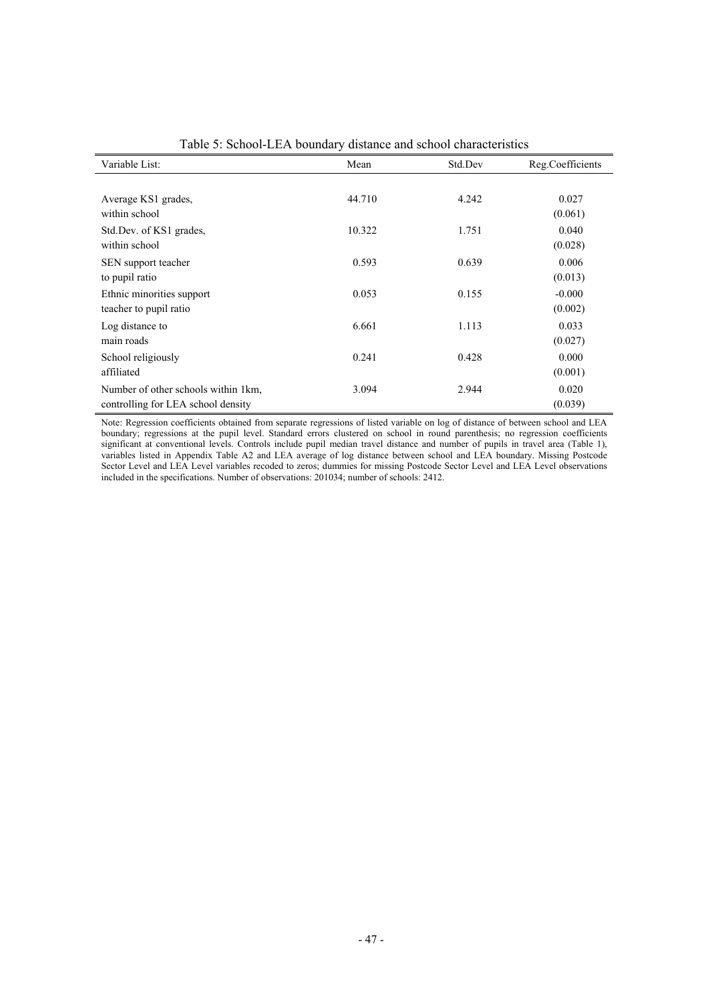| Variable List:                                                            | Mean   | Std.Dev | Reg.Coefficients    |
|---------------------------------------------------------------------------|--------|---------|---------------------|
| Average KS1 grades,<br>within school                                      | 44.710 | 4.242   | 0.027<br>(0.061)    |
| Std.Dev. of KS1 grades,<br>within school                                  | 10.322 | 1.751   | 0.040<br>(0.028)    |
| SEN support teacher<br>to pupil ratio                                     | 0.593  | 0.639   | 0.006<br>(0.013)    |
| Ethnic minorities support<br>teacher to pupil ratio                       | 0.053  | 0.155   | $-0.000$<br>(0.002) |
| Log distance to<br>main roads                                             | 6.661  | 1.113   | 0.033<br>(0.027)    |
| School religiously<br>affiliated                                          | 0.241  | 0.428   | 0.000<br>(0.001)    |
| Number of other schools within 1km,<br>controlling for LEA school density | 3.094  | 2.944   | 0.020<br>(0.039)    |

Table 5: School-LEA boundary distance and school characteristics

Note: Regression coefficients obtained from separate regressions of listed variable on log of distance of between school and LEA boundary; regressions at the pupil level. Standard errors clustered on school in round parenthesis; no regression coefficients significant at conventional levels. Controls include pupil median travel distance and number of pupils in travel area (Table 1), variables listed in Appendix Table A2 and LEA average of log distance between school and LEA boundary. Missing Postcode Sector Level and LEA Level variables recoded to zeros; dummies for missing Postcode Sector Level and LEA Level observations included in the specifications. Number of observations: 201034; number of schools: 2412.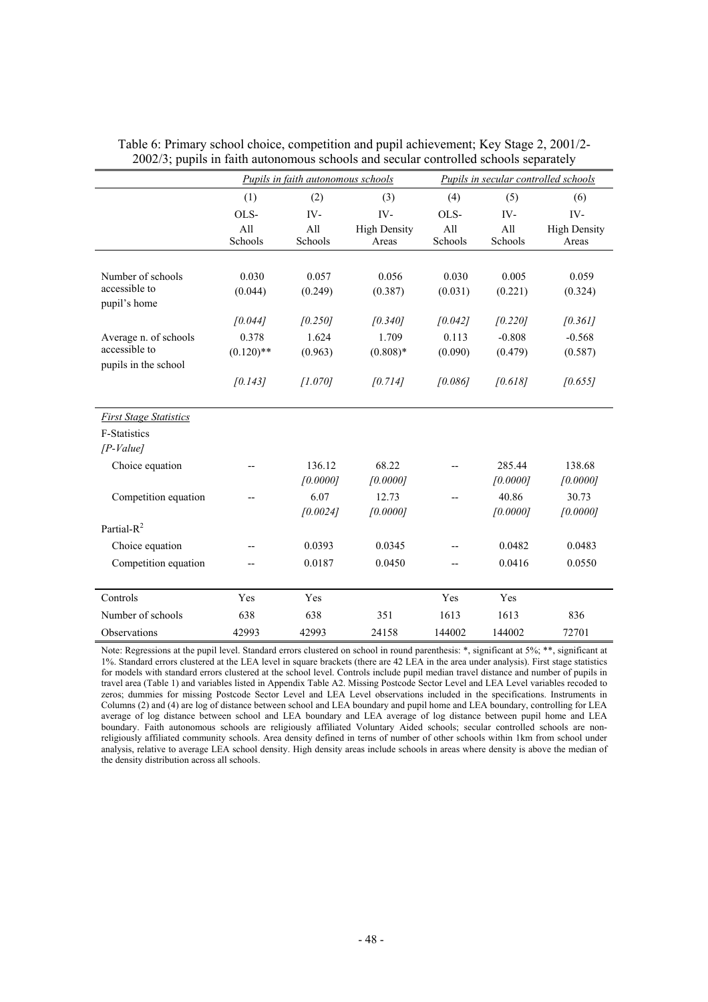|                                       |                  | <b>Pupils in faith autonomous schools</b> |                     | Pupils in secular controlled schools |                    |                     |  |
|---------------------------------------|------------------|-------------------------------------------|---------------------|--------------------------------------|--------------------|---------------------|--|
|                                       | (1)              | (2)                                       | (3)                 | (4)                                  | (5)                | (6)                 |  |
|                                       | OLS-             | IV-                                       | IV-                 | OLS-                                 | IV-                | IV-                 |  |
|                                       | All              | A11                                       | <b>High Density</b> | A11                                  | All                | <b>High Density</b> |  |
|                                       | Schools          | Schools                                   | Areas               | Schools                              | Schools            | Areas               |  |
| Number of schools<br>accessible to    | 0.030<br>(0.044) | 0.057                                     | 0.056               | 0.030                                | 0.005              | 0.059               |  |
| pupil's home                          |                  | (0.249)                                   | (0.387)             | (0.031)                              | (0.221)            | (0.324)             |  |
|                                       | [0.044]          | [0.250]                                   | [0.340]             | [0.042]                              | [0.220]            | [0.361]             |  |
| Average n. of schools                 | 0.378            | 1.624                                     | 1.709               | 0.113                                | $-0.808$           | $-0.568$            |  |
| accessible to<br>pupils in the school | $(0.120)$ **     | (0.963)                                   | $(0.808)*$          | (0.090)                              | (0.479)            | (0.587)             |  |
|                                       | [0.143]          | [1.070]                                   | [0.714]             | [0.086]                              | [0.618]            | [0.655]             |  |
|                                       |                  |                                           |                     |                                      |                    |                     |  |
| <b>First Stage Statistics</b>         |                  |                                           |                     |                                      |                    |                     |  |
| <b>F-Statistics</b>                   |                  |                                           |                     |                                      |                    |                     |  |
| $[P-Value]$                           |                  |                                           |                     |                                      |                    |                     |  |
| Choice equation                       |                  | 136.12<br>[0.0000]                        | 68.22<br>[0.0000]   |                                      | 285.44<br>[0.0000] | 138.68<br>[0.0000]  |  |
| Competition equation                  |                  | 6.07                                      | 12.73               | --                                   | 40.86              | 30.73               |  |
|                                       |                  | [0.0024]                                  | [0.0000]            |                                      | [0.0000]           | [0.0000]            |  |
| Partial-R <sup>2</sup>                |                  |                                           |                     |                                      |                    |                     |  |
| Choice equation                       |                  | 0.0393                                    | 0.0345              |                                      | 0.0482             | 0.0483              |  |
| Competition equation                  |                  | 0.0187                                    | 0.0450              |                                      | 0.0416             | 0.0550              |  |
| Controls                              | Yes              | Yes                                       |                     | Yes                                  | Yes                |                     |  |
| Number of schools                     | 638              | 638                                       | 351                 | 1613                                 | 1613               | 836                 |  |
| Observations                          | 42993            | 42993                                     | 24158               | 144002                               | 144002             | 72701               |  |

Table 6: Primary school choice, competition and pupil achievement; Key Stage 2, 2001/2- 2002/3; pupils in faith autonomous schools and secular controlled schools separately

Note: Regressions at the pupil level. Standard errors clustered on school in round parenthesis: \*, significant at 5%; \*\*, significant at 1%. Standard errors clustered at the LEA level in square brackets (there are 42 LEA in the area under analysis). First stage statistics for models with standard errors clustered at the school level. Controls include pupil median travel distance and number of pupils in travel area (Table 1) and variables listed in Appendix Table A2. Missing Postcode Sector Level and LEA Level variables recoded to zeros; dummies for missing Postcode Sector Level and LEA Level observations included in the specifications. Instruments in Columns (2) and (4) are log of distance between school and LEA boundary and pupil home and LEA boundary, controlling for LEA average of log distance between school and LEA boundary and LEA average of log distance between pupil home and LEA boundary. Faith autonomous schools are religiously affiliated Voluntary Aided schools; secular controlled schools are nonreligiously affiliated community schools. Area density defined in terns of number of other schools within 1km from school under analysis, relative to average LEA school density. High density areas include schools in areas where density is above the median of the density distribution across all schools.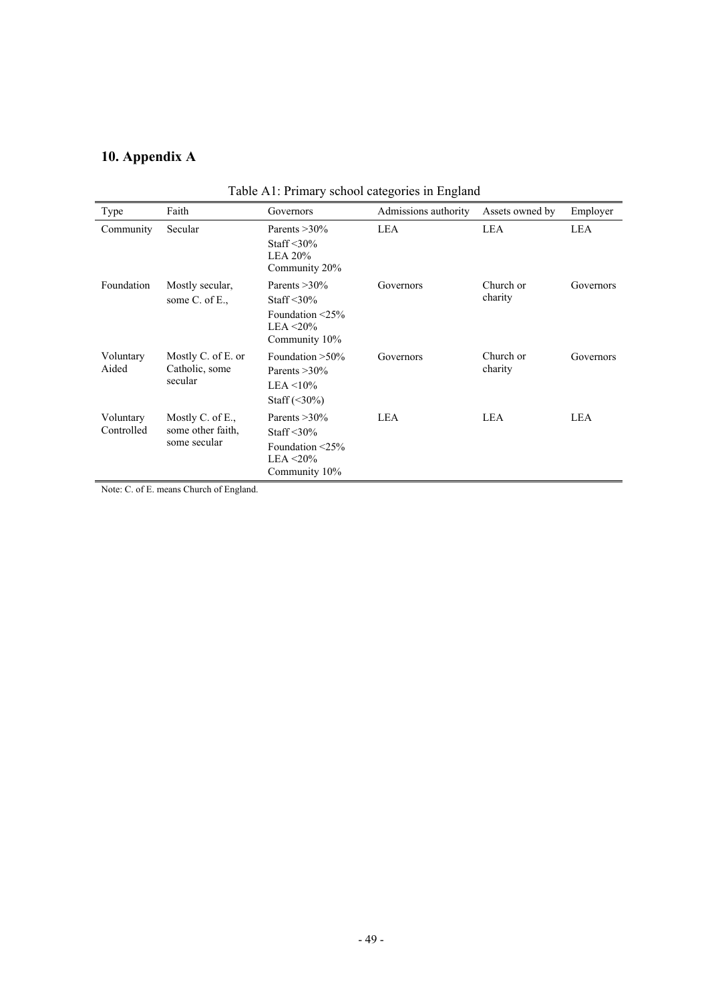# **10. Appendix A**

| Tuble TVI. I Hindi y Senoof eategories in England |                                                       |                                                                                                  |                      |                      |           |  |
|---------------------------------------------------|-------------------------------------------------------|--------------------------------------------------------------------------------------------------|----------------------|----------------------|-----------|--|
| Type                                              | Faith                                                 | Governors                                                                                        | Admissions authority | Assets owned by      | Employer  |  |
| Community                                         | Secular                                               | Parents $>30\%$<br>Staff $\leq 30\%$<br><b>LEA 20%</b><br>Community 20%                          | LEA                  | <b>LEA</b>           | LEA       |  |
| Foundation                                        | Mostly secular,<br>some C. of E.,                     | Parents $>30\%$<br>Staff $\leq 30\%$<br>Foundation $\leq$ 25%<br>LEA $\leq$ 20%<br>Community 10% | Governors            | Church or<br>charity | Governors |  |
| Voluntary<br>Aided                                | Mostly C. of E. or<br>Catholic, some<br>secular       | Foundation $>50\%$<br>Parents $>30\%$<br>LEA $\leq$ 10%<br>Staff $(\leq 30\%)$                   | Governors            | Church or<br>charity | Governors |  |
| Voluntary<br>Controlled                           | Mostly C. of E.,<br>some other faith,<br>some secular | Parents $>30\%$<br>Staff $\leq 30\%$<br>Foundation $\leq$ 25%<br>LEA $\leq$ 20%<br>Community 10% | LEA                  | LEA                  | LEA       |  |

Table A1: Primary school categories in England

Note: C. of E. means Church of England.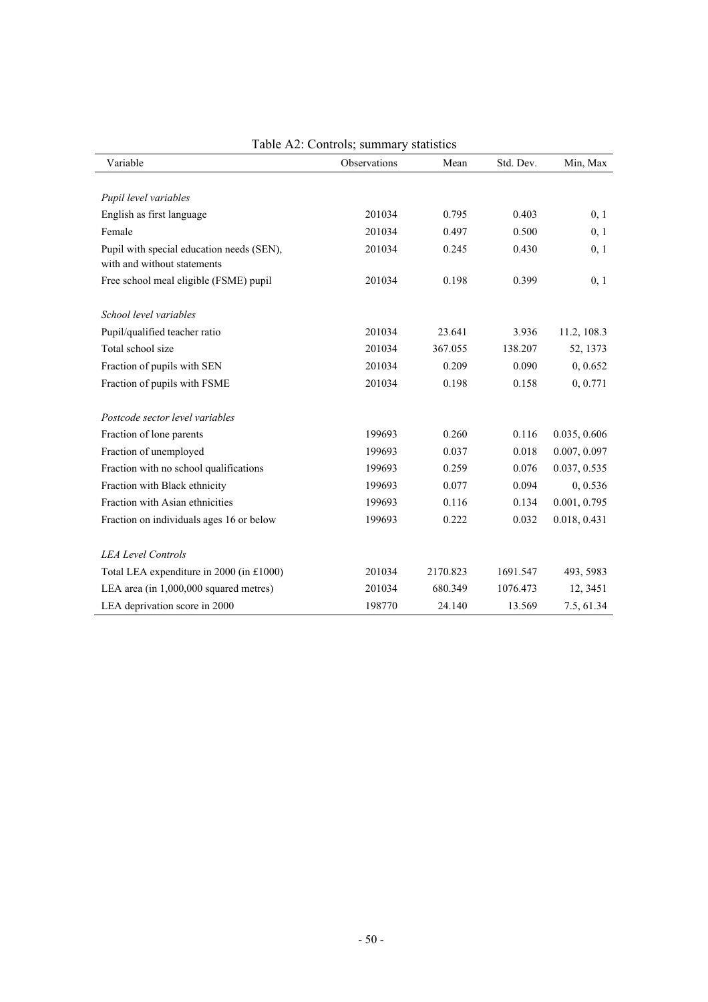| Variable                                  | Observations | Mean     | Std. Dev. | Min, Max     |
|-------------------------------------------|--------------|----------|-----------|--------------|
|                                           |              |          |           |              |
| Pupil level variables                     |              |          |           |              |
| English as first language                 | 201034       | 0.795    | 0.403     | 0, 1         |
| Female                                    | 201034       | 0.497    | 0.500     | 0, 1         |
| Pupil with special education needs (SEN), | 201034       | 0.245    | 0.430     | 0, 1         |
| with and without statements               |              |          |           |              |
| Free school meal eligible (FSME) pupil    | 201034       | 0.198    | 0.399     | 0, 1         |
| School level variables                    |              |          |           |              |
| Pupil/qualified teacher ratio             | 201034       | 23.641   | 3.936     | 11.2, 108.3  |
| Total school size                         | 201034       | 367.055  | 138.207   | 52, 1373     |
| Fraction of pupils with SEN               | 201034       | 0.209    | 0.090     | 0, 0.652     |
| Fraction of pupils with FSME              | 201034       | 0.198    | 0.158     | 0, 0.771     |
| Postcode sector level variables           |              |          |           |              |
| Fraction of lone parents                  | 199693       | 0.260    | 0.116     | 0.035, 0.606 |
| Fraction of unemployed                    | 199693       | 0.037    | 0.018     | 0.007, 0.097 |
| Fraction with no school qualifications    | 199693       | 0.259    | 0.076     | 0.037, 0.535 |
| Fraction with Black ethnicity             | 199693       | 0.077    | 0.094     | 0,0.536      |
| Fraction with Asian ethnicities           | 199693       | 0.116    | 0.134     | 0.001, 0.795 |
| Fraction on individuals ages 16 or below  | 199693       | 0.222    | 0.032     | 0.018, 0.431 |
| <b>LEA Level Controls</b>                 |              |          |           |              |
| Total LEA expenditure in 2000 (in £1000)  | 201034       | 2170.823 | 1691.547  | 493, 5983    |
| LEA area (in 1,000,000 squared metres)    | 201034       | 680.349  | 1076.473  | 12, 3451     |
| LEA deprivation score in 2000             | 198770       | 24.140   | 13.569    | 7.5, 61.34   |

## Table A2: Controls; summary statistics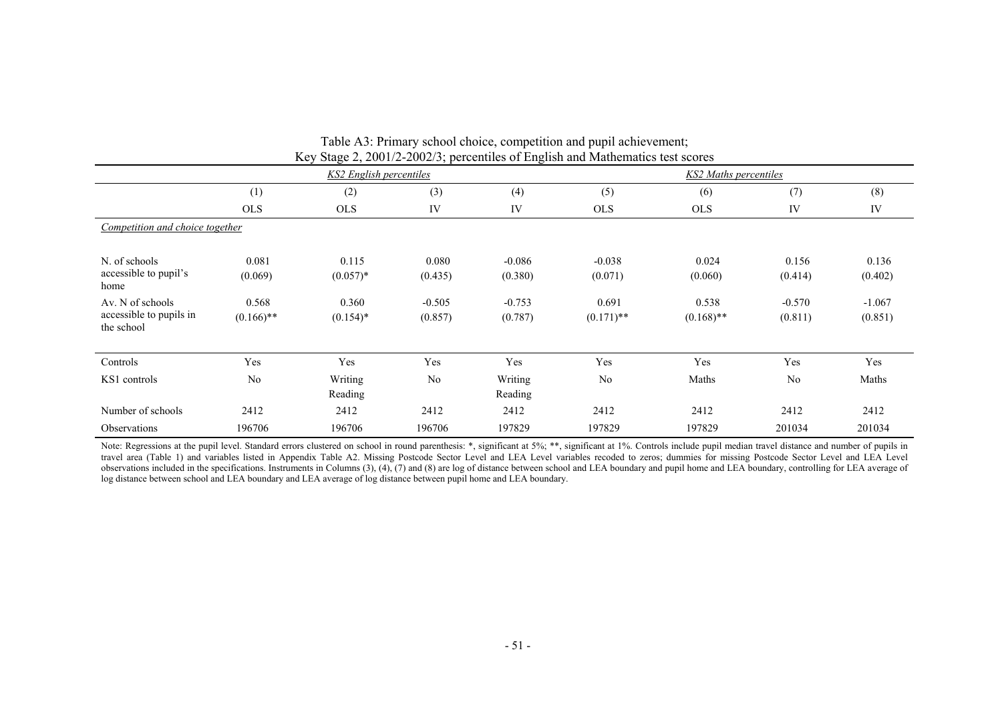|                                                           | KS2 English percentiles |                      |                     |                     |                       | <b>KS2 Maths percentiles</b> |                     |                     |
|-----------------------------------------------------------|-------------------------|----------------------|---------------------|---------------------|-----------------------|------------------------------|---------------------|---------------------|
|                                                           | (1)                     | (2)                  | (3)                 | (4)                 | (5)                   | (6)                          | (7)                 | (8)                 |
|                                                           | <b>OLS</b>              | <b>OLS</b>           | IV                  | IV                  | <b>OLS</b>            | <b>OLS</b>                   | IV                  | IV                  |
| Competition and choice together                           |                         |                      |                     |                     |                       |                              |                     |                     |
| N. of schools<br>accessible to pupil's<br>home            | 0.081<br>(0.069)        | 0.115<br>$(0.057)*$  | 0.080<br>(0.435)    | $-0.086$<br>(0.380) | $-0.038$<br>(0.071)   | 0.024<br>(0.060)             | 0.156<br>(0.414)    | 0.136<br>(0.402)    |
| Av. N of schools<br>accessible to pupils in<br>the school | 0.568<br>$(0.166)$ **   | 0.360<br>$(0.154)$ * | $-0.505$<br>(0.857) | $-0.753$<br>(0.787) | 0.691<br>$(0.171)$ ** | 0.538<br>$(0.168)$ **        | $-0.570$<br>(0.811) | $-1.067$<br>(0.851) |
| Controls                                                  | Yes                     | Yes                  | Yes                 | Yes                 | Yes                   | Yes                          | Yes                 | Yes                 |
| KS1 controls                                              | N <sub>0</sub>          | Writing<br>Reading   | N <sub>0</sub>      | Writing<br>Reading  | N <sub>0</sub>        | Maths                        | N <sub>0</sub>      | Maths               |
| Number of schools                                         | 2412                    | 2412                 | 2412                | 2412                | 2412                  | 2412                         | 2412                | 2412                |
| Observations                                              | 196706                  | 196706               | 196706              | 197829              | 197829                | 197829                       | 201034              | 201034              |

Table A3: Primary school choice, competition and pupil achievement; Key Stage 2, 2001/2-2002/3; percentiles of English and Mathematics test scores

Note: Regressions at the pupil level. Standard errors clustered on school in round parenthesis: \*, significant at 5%; \*\*, significant at 1%. Controls include pupil median travel distance and number of pupils in travel area (Table 1) and variables listed in Appendix Table A2. Missing Postcode Sector Level and LEA Level variables recoded to zeros; dummies for missing Postcode Sector Level and LEA Level observations included in the specifications. Instruments in Columns (3), (4), (7) and (8) are log of distance between school and LEA boundary and pupil home and LEA boundary, controlling for LEA average of log distance between school and LEA boundary and LEA average of log distance between pupil home and LEA boundary.